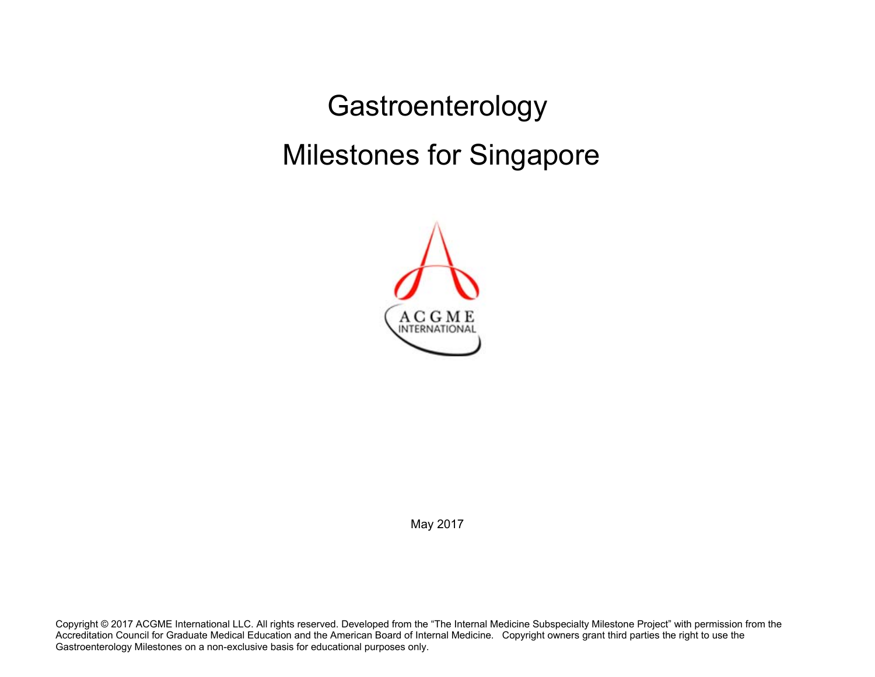Gastroenterology Milestones for Singapore



May 2017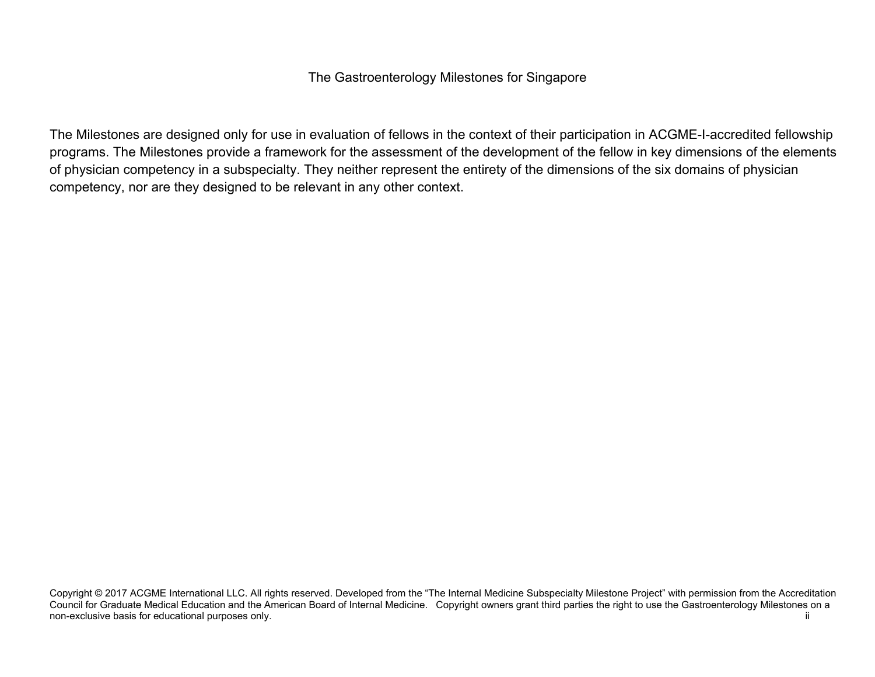## The Gastroenterology Milestones for Singapore

The Milestones are designed only for use in evaluation of fellows in the context of their participation in ACGME-I-accredited fellowship programs. The Milestones provide a framework for the assessment of the development of the fellow in key dimensions of the elements of physician competency in a subspecialty. They neither represent the entirety of the dimensions of the six domains of physician competency, nor are they designed to be relevant in any other context.

Copyright © 2017 ACGME International LLC. All rights reserved. Developed from the "The Internal Medicine Subspecialty Milestone Project" with permission from the Accreditation Council for Graduate Medical Education and the American Board of Internal Medicine. Copyright owners grant third parties the right to use the Gastroenterology Milestones on a non-exclusive basis for educational purposes only. The state of the state of the state of the state of the state of the state of the state of the state of the state of the state of the state of the state of the state of th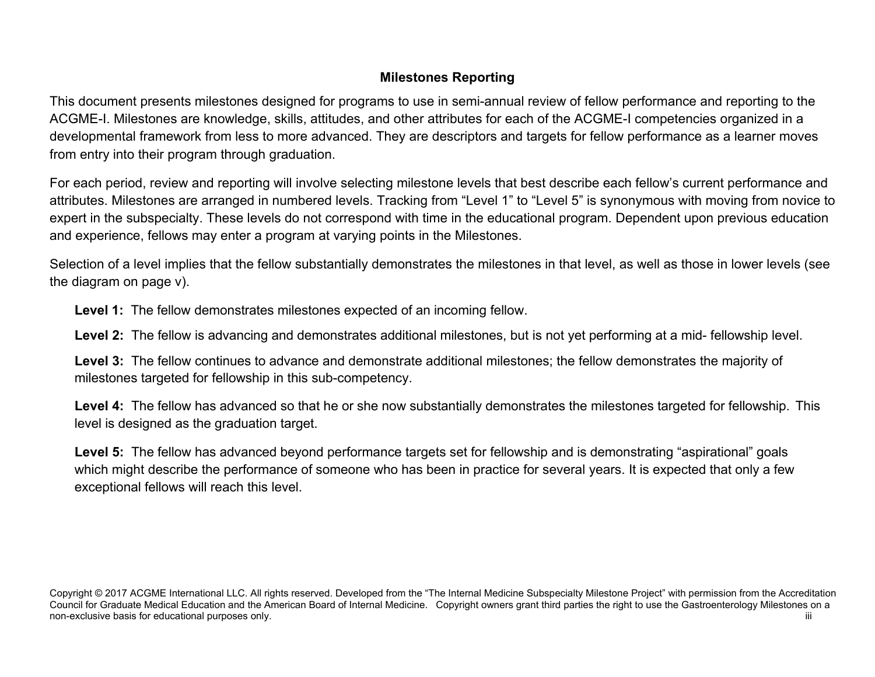# **Milestones Reporting**

This document presents milestones designed for programs to use in semi-annual review of fellow performance and reporting to the ACGME-I. Milestones are knowledge, skills, attitudes, and other attributes for each of the ACGME-I competencies organized in a developmental framework from less to more advanced. They are descriptors and targets for fellow performance as a learner moves from entry into their program through graduation.

For each period, review and reporting will involve selecting milestone levels that best describe each fellow's current performance and attributes. Milestones are arranged in numbered levels. Tracking from "Level 1" to "Level 5" is synonymous with moving from novice to expert in the subspecialty. These levels do not correspond with time in the educational program. Dependent upon previous education and experience, fellows may enter a program at varying points in the Milestones.

Selection of a level implies that the fellow substantially demonstrates the milestones in that level, as well as those in lower levels (see the diagram on page v).

**Level 1:** The fellow demonstrates milestones expected of an incoming fellow.

**Level 2:** The fellow is advancing and demonstrates additional milestones, but is not yet performing at a mid- fellowship level.

**Level 3:** The fellow continues to advance and demonstrate additional milestones; the fellow demonstrates the majority of milestones targeted for fellowship in this sub-competency.

**Level 4:** The fellow has advanced so that he or she now substantially demonstrates the milestones targeted for fellowship. This level is designed as the graduation target.

Level 5: The fellow has advanced beyond performance targets set for fellowship and is demonstrating "aspirational" goals which might describe the performance of someone who has been in practice for several years. It is expected that only a few exceptional fellows will reach this level.

Copyright © 2017 ACGME International LLC. All rights reserved. Developed from the "The Internal Medicine Subspecialty Milestone Project" with permission from the Accreditation Council for Graduate Medical Education and the American Board of Internal Medicine. Copyright owners grant third parties the right to use the Gastroenterology Milestones on a non-exclusive basis for educational purposes only. This is a state of the state of the state of the state of the state of the state of the state of the state of the state of the state of the state of the state of the state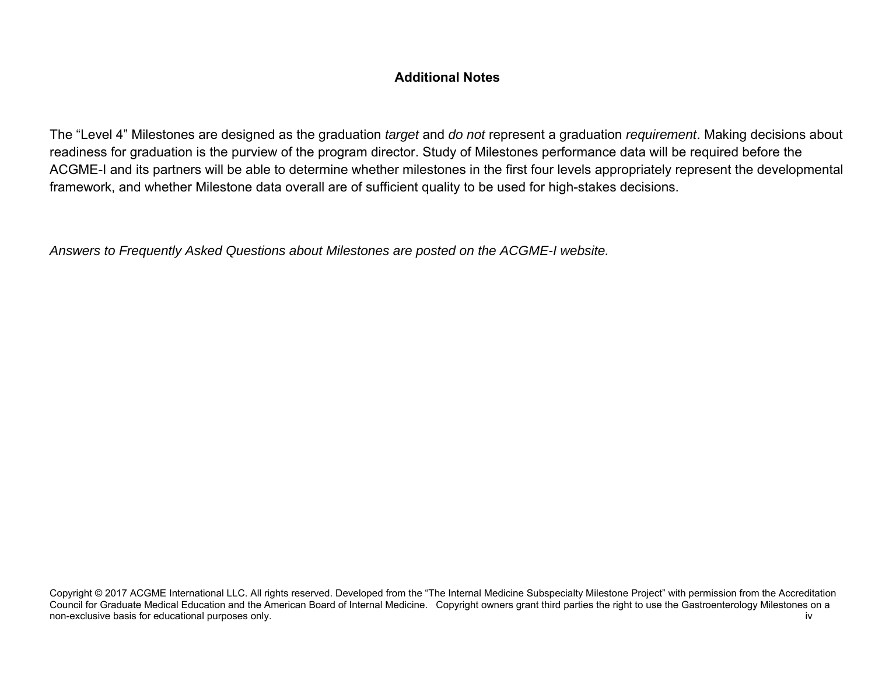# **Additional Notes**

The "Level 4" Milestones are designed as the graduation *target* and *do not* represent a graduation *requirement*. Making decisions about readiness for graduation is the purview of the program director. Study of Milestones performance data will be required before the ACGME-I and its partners will be able to determine whether milestones in the first four levels appropriately represent the developmental framework, and whether Milestone data overall are of sufficient quality to be used for high-stakes decisions.

*Answers to Frequently Asked Questions about Milestones are posted on the ACGME-I website.* 

Copyright © 2017 ACGME International LLC. All rights reserved. Developed from the "The Internal Medicine Subspecialty Milestone Project" with permission from the Accreditation Council for Graduate Medical Education and the American Board of Internal Medicine. Copyright owners grant third parties the right to use the Gastroenterology Milestones on a non-exclusive basis for educational purposes only. The state of the state of the state of the state of the state of the state of the state of the state of the state of the state of the state of the state of the state of th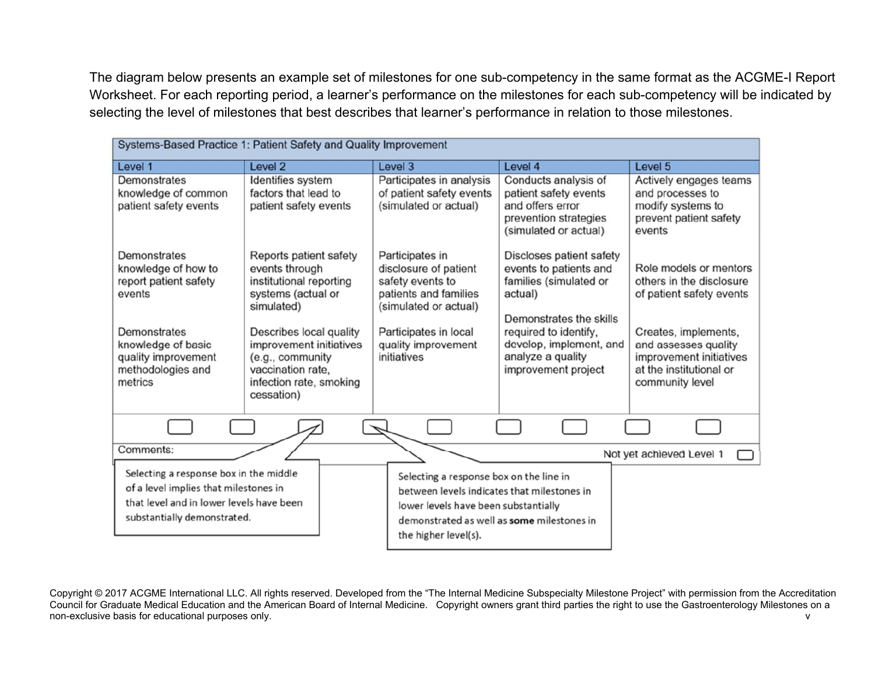The diagram below presents an example set of milestones for one sub-competency in the same format as the ACGME-I Report Worksheet. For each reporting period, a learner's performance on the milestones for each sub-competency will be indicated by selecting the level of milestones that best describes that learner's performance in relation to those milestones.

| Systems-Based Practice 1: Patient Safety and Quality Improvement                                                                                                    |                                                                                                                                                                                                                                                 |                                                                                                                                                                                                      |                                                                                                                                                                                                                    |                                                                                                                                                                                                         |  |
|---------------------------------------------------------------------------------------------------------------------------------------------------------------------|-------------------------------------------------------------------------------------------------------------------------------------------------------------------------------------------------------------------------------------------------|------------------------------------------------------------------------------------------------------------------------------------------------------------------------------------------------------|--------------------------------------------------------------------------------------------------------------------------------------------------------------------------------------------------------------------|---------------------------------------------------------------------------------------------------------------------------------------------------------------------------------------------------------|--|
| Level 1                                                                                                                                                             | Level 2                                                                                                                                                                                                                                         | Level 3                                                                                                                                                                                              | Level 4                                                                                                                                                                                                            | Level 5                                                                                                                                                                                                 |  |
| Demonstrates<br>knowledge of common<br>patient safety events                                                                                                        | Identifies system<br>factors that lead to<br>patient safety events                                                                                                                                                                              | Participates in analysis<br>of patient safety events<br>(simulated or actual)                                                                                                                        | Conducts analysis of<br>patient safety events<br>and offers error<br>prevention strategies<br>(simulated or actual)                                                                                                | Actively engages teams<br>and processes to<br>modify systems to<br>prevent patient safety<br>events                                                                                                     |  |
| Demonstrates<br>knowledge of how to<br>report patient safety<br>events<br>Demonstrates<br>knowledge of basic<br>quality improvement<br>methodologies and<br>metrics | Reports patient safety<br>events through<br>institutional reporting<br>systems (actual or<br>simulated)<br>Describes local quality<br>improvement initiatives<br>(e.g., community<br>vaccination rate.<br>infection rate, smoking<br>cessation) | Participates in<br>disclosure of patient<br>safety events to<br>patients and families<br>(simulated or actual)<br>Participates in local<br>quality improvement<br>initiatives                        | Discloses patient safety<br>events to patients and<br>families (simulated or<br>actual)<br>Demonstrates the skills<br>required to identify,<br>develop, implement, and<br>analyze a quality<br>improvement project | Role models or mentors<br>others in the disclosure<br>of patient safety events<br>Creates, implements,<br>and assesses quality<br>improvement initiatives<br>at the institutional or<br>community level |  |
|                                                                                                                                                                     |                                                                                                                                                                                                                                                 |                                                                                                                                                                                                      |                                                                                                                                                                                                                    |                                                                                                                                                                                                         |  |
| Comments:                                                                                                                                                           |                                                                                                                                                                                                                                                 |                                                                                                                                                                                                      |                                                                                                                                                                                                                    | Not yet achieved Level 1                                                                                                                                                                                |  |
| Selecting a response box in the middle<br>of a level implies that milestones in<br>that level and in lower levels have been<br>substantially demonstrated.          |                                                                                                                                                                                                                                                 | Selecting a response box on the line in<br>between levels indicates that milestones in<br>lower levels have been substantially<br>demonstrated as well as some milestones in<br>the higher level(s). |                                                                                                                                                                                                                    |                                                                                                                                                                                                         |  |

Copyright © 2017 ACGME International LLC. All rights reserved. Developed from the "The Internal Medicine Subspecialty Milestone Project" with permission from the Accreditation Council for Graduate Medical Education and the American Board of Internal Medicine. Copyright owners grant third parties the right to use the Gastroenterology Milestones on a non-exclusive basis for educational purposes only. The contract of the contract of the contract of the contract of the contract of the contract of the contract of the contract of the contract of the contract of the contrac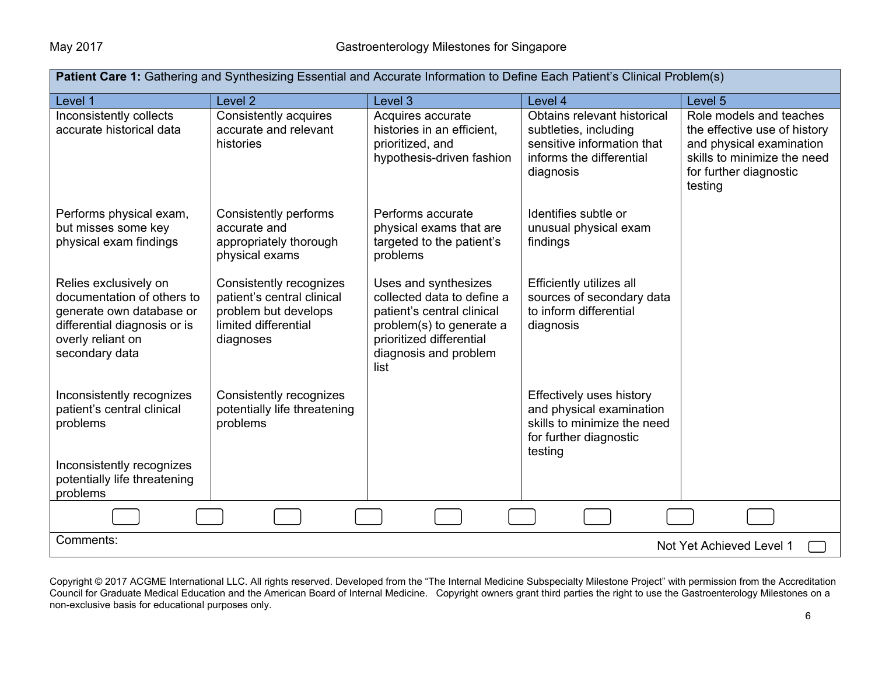| Patient Care 1: Gathering and Synthesizing Essential and Accurate Information to Define Each Patient's Clinical Problem(s)                             |                                                                                                                    |                                                                                                                                                                           |                                                                                                                                 |                                                                                                                                                         |  |  |
|--------------------------------------------------------------------------------------------------------------------------------------------------------|--------------------------------------------------------------------------------------------------------------------|---------------------------------------------------------------------------------------------------------------------------------------------------------------------------|---------------------------------------------------------------------------------------------------------------------------------|---------------------------------------------------------------------------------------------------------------------------------------------------------|--|--|
| Level 1                                                                                                                                                | Level <sub>2</sub>                                                                                                 | Level 3                                                                                                                                                                   | Level 4                                                                                                                         | Level 5                                                                                                                                                 |  |  |
| Inconsistently collects<br>accurate historical data                                                                                                    | Consistently acquires<br>accurate and relevant<br>histories                                                        | Acquires accurate<br>histories in an efficient,<br>prioritized, and<br>hypothesis-driven fashion                                                                          | Obtains relevant historical<br>subtleties, including<br>sensitive information that<br>informs the differential<br>diagnosis     | Role models and teaches<br>the effective use of history<br>and physical examination<br>skills to minimize the need<br>for further diagnostic<br>testing |  |  |
| Performs physical exam,<br>but misses some key<br>physical exam findings                                                                               | Consistently performs<br>accurate and<br>appropriately thorough<br>physical exams                                  | Performs accurate<br>physical exams that are<br>targeted to the patient's<br>problems                                                                                     | Identifies subtle or<br>unusual physical exam<br>findings                                                                       |                                                                                                                                                         |  |  |
| Relies exclusively on<br>documentation of others to<br>generate own database or<br>differential diagnosis or is<br>overly reliant on<br>secondary data | Consistently recognizes<br>patient's central clinical<br>problem but develops<br>limited differential<br>diagnoses | Uses and synthesizes<br>collected data to define a<br>patient's central clinical<br>problem(s) to generate a<br>prioritized differential<br>diagnosis and problem<br>list | Efficiently utilizes all<br>sources of secondary data<br>to inform differential<br>diagnosis                                    |                                                                                                                                                         |  |  |
| Inconsistently recognizes<br>patient's central clinical<br>problems<br>Inconsistently recognizes<br>potentially life threatening<br>problems           | Consistently recognizes<br>potentially life threatening<br>problems                                                |                                                                                                                                                                           | <b>Effectively uses history</b><br>and physical examination<br>skills to minimize the need<br>for further diagnostic<br>testing |                                                                                                                                                         |  |  |
|                                                                                                                                                        |                                                                                                                    |                                                                                                                                                                           |                                                                                                                                 |                                                                                                                                                         |  |  |
| Comments:                                                                                                                                              | Not Yet Achieved Level 1                                                                                           |                                                                                                                                                                           |                                                                                                                                 |                                                                                                                                                         |  |  |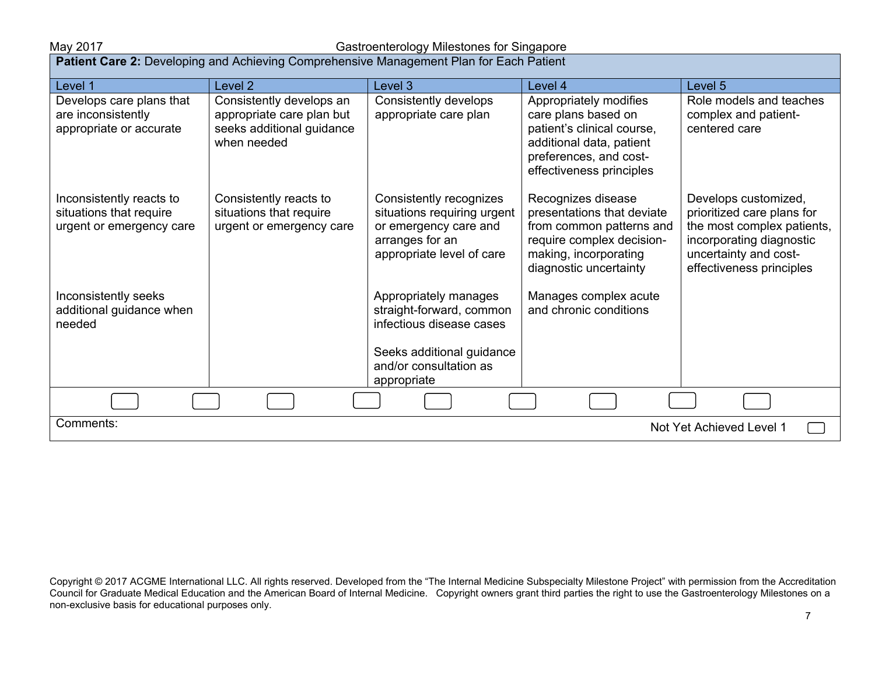### May 2017 Gastroenterology Milestones for Singapore

| Patient Care 2: Developing and Achieving Comprehensive Management Plan for Each Patient |                                                                                                   |                                                                                                                                                     |                                                                                                                                                               |                                                                                                                                                                   |  |
|-----------------------------------------------------------------------------------------|---------------------------------------------------------------------------------------------------|-----------------------------------------------------------------------------------------------------------------------------------------------------|---------------------------------------------------------------------------------------------------------------------------------------------------------------|-------------------------------------------------------------------------------------------------------------------------------------------------------------------|--|
| Level 1                                                                                 | Level <sub>2</sub>                                                                                | Level 3                                                                                                                                             | Level 4                                                                                                                                                       | Level 5                                                                                                                                                           |  |
| Develops care plans that<br>are inconsistently<br>appropriate or accurate               | Consistently develops an<br>appropriate care plan but<br>seeks additional guidance<br>when needed | Consistently develops<br>appropriate care plan                                                                                                      | Appropriately modifies<br>care plans based on<br>patient's clinical course,<br>additional data, patient<br>preferences, and cost-<br>effectiveness principles | Role models and teaches<br>complex and patient-<br>centered care                                                                                                  |  |
| Inconsistently reacts to<br>situations that require<br>urgent or emergency care         | Consistently reacts to<br>situations that require<br>urgent or emergency care                     | Consistently recognizes<br>situations requiring urgent<br>or emergency care and<br>arranges for an<br>appropriate level of care                     | Recognizes disease<br>presentations that deviate<br>from common patterns and<br>require complex decision-<br>making, incorporating<br>diagnostic uncertainty  | Develops customized,<br>prioritized care plans for<br>the most complex patients,<br>incorporating diagnostic<br>uncertainty and cost-<br>effectiveness principles |  |
| Inconsistently seeks<br>additional guidance when<br>needed                              |                                                                                                   | Appropriately manages<br>straight-forward, common<br>infectious disease cases<br>Seeks additional guidance<br>and/or consultation as<br>appropriate | Manages complex acute<br>and chronic conditions                                                                                                               |                                                                                                                                                                   |  |
|                                                                                         |                                                                                                   |                                                                                                                                                     |                                                                                                                                                               |                                                                                                                                                                   |  |
| Comments:<br>Not Yet Achieved Level 1                                                   |                                                                                                   |                                                                                                                                                     |                                                                                                                                                               |                                                                                                                                                                   |  |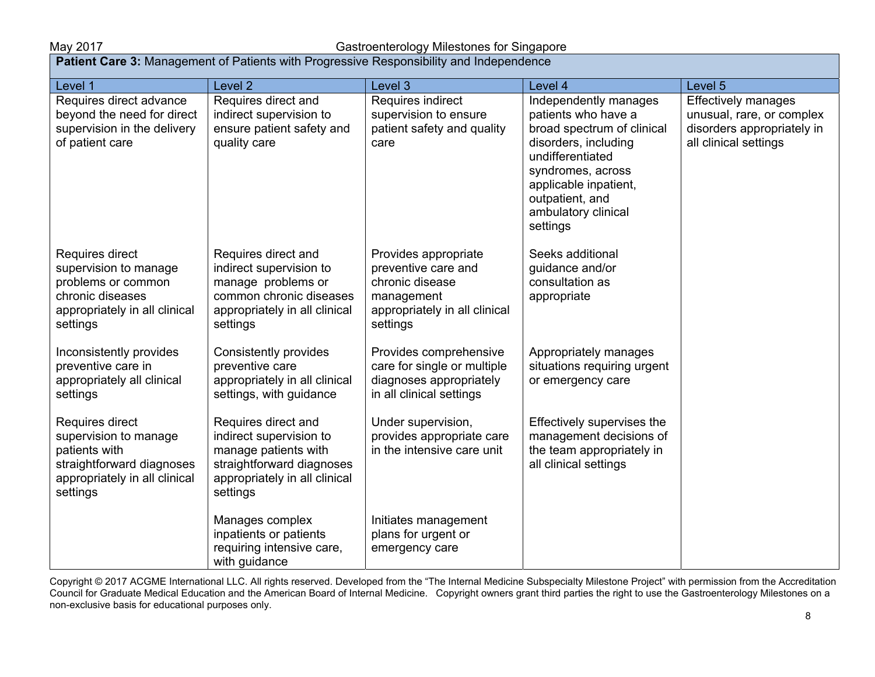### May 2017 Gastroenterology Milestones for Singapore

| <b>Patient Care 3:</b> Management of Patients with Progressive Responsibility and Independence                                      |                                                                                                                                                  |                                                                                                                           |                                                                                                                                                                                                                            |                                                                                                                |  |
|-------------------------------------------------------------------------------------------------------------------------------------|--------------------------------------------------------------------------------------------------------------------------------------------------|---------------------------------------------------------------------------------------------------------------------------|----------------------------------------------------------------------------------------------------------------------------------------------------------------------------------------------------------------------------|----------------------------------------------------------------------------------------------------------------|--|
| Level 1                                                                                                                             | Level 2                                                                                                                                          | Level 3                                                                                                                   | Level 4                                                                                                                                                                                                                    | Level <sub>5</sub>                                                                                             |  |
| Requires direct advance<br>beyond the need for direct<br>supervision in the delivery<br>of patient care                             | Requires direct and<br>indirect supervision to<br>ensure patient safety and<br>quality care                                                      | Requires indirect<br>supervision to ensure<br>patient safety and quality<br>care                                          | Independently manages<br>patients who have a<br>broad spectrum of clinical<br>disorders, including<br>undifferentiated<br>syndromes, across<br>applicable inpatient,<br>outpatient, and<br>ambulatory clinical<br>settings | <b>Effectively manages</b><br>unusual, rare, or complex<br>disorders appropriately in<br>all clinical settings |  |
| Requires direct<br>supervision to manage<br>problems or common<br>chronic diseases<br>appropriately in all clinical<br>settings     | Requires direct and<br>indirect supervision to<br>manage problems or<br>common chronic diseases<br>appropriately in all clinical<br>settings     | Provides appropriate<br>preventive care and<br>chronic disease<br>management<br>appropriately in all clinical<br>settings | Seeks additional<br>guidance and/or<br>consultation as<br>appropriate                                                                                                                                                      |                                                                                                                |  |
| Inconsistently provides<br>preventive care in<br>appropriately all clinical<br>settings                                             | Consistently provides<br>preventive care<br>appropriately in all clinical<br>settings, with guidance                                             | Provides comprehensive<br>care for single or multiple<br>diagnoses appropriately<br>in all clinical settings              | Appropriately manages<br>situations requiring urgent<br>or emergency care                                                                                                                                                  |                                                                                                                |  |
| Requires direct<br>supervision to manage<br>patients with<br>straightforward diagnoses<br>appropriately in all clinical<br>settings | Requires direct and<br>indirect supervision to<br>manage patients with<br>straightforward diagnoses<br>appropriately in all clinical<br>settings | Under supervision,<br>provides appropriate care<br>in the intensive care unit                                             | Effectively supervises the<br>management decisions of<br>the team appropriately in<br>all clinical settings                                                                                                                |                                                                                                                |  |
|                                                                                                                                     | Manages complex<br>inpatients or patients<br>requiring intensive care,<br>with guidance                                                          | Initiates management<br>plans for urgent or<br>emergency care                                                             |                                                                                                                                                                                                                            |                                                                                                                |  |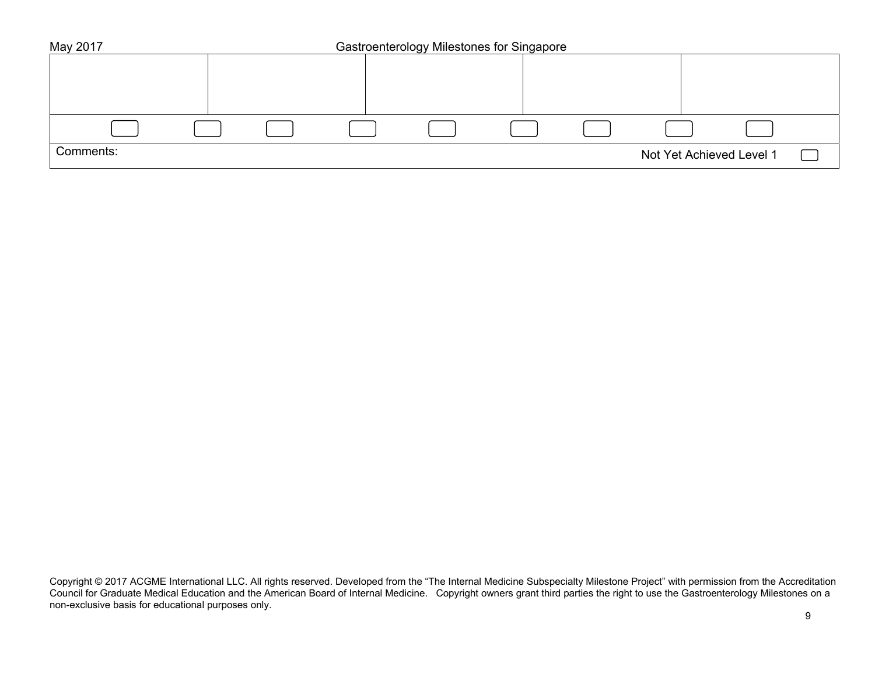| May 2017  | Gastroenterology Milestones for Singapore |  |  |  |  |                          |  |
|-----------|-------------------------------------------|--|--|--|--|--------------------------|--|
|           |                                           |  |  |  |  |                          |  |
|           |                                           |  |  |  |  |                          |  |
|           |                                           |  |  |  |  |                          |  |
|           |                                           |  |  |  |  |                          |  |
|           |                                           |  |  |  |  |                          |  |
| Comments: |                                           |  |  |  |  | Not Yet Achieved Level 1 |  |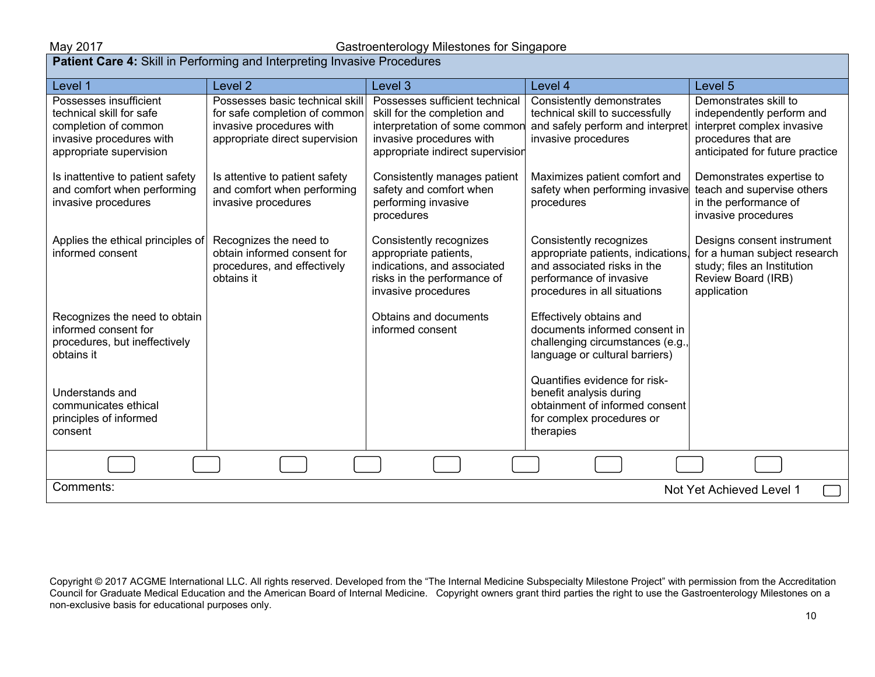| <b>Patient Care 4:</b> Skill in Performing and Interpreting Invasive Procedures                                                   |                                                                                                                                |                                                                                                                                                                 |                                                                                                                                                         |                                                                                                                                            |  |
|-----------------------------------------------------------------------------------------------------------------------------------|--------------------------------------------------------------------------------------------------------------------------------|-----------------------------------------------------------------------------------------------------------------------------------------------------------------|---------------------------------------------------------------------------------------------------------------------------------------------------------|--------------------------------------------------------------------------------------------------------------------------------------------|--|
| Level 1                                                                                                                           | Level <sub>2</sub>                                                                                                             | Level 3                                                                                                                                                         | Level 4                                                                                                                                                 | Level 5                                                                                                                                    |  |
| Possesses insufficient<br>technical skill for safe<br>completion of common<br>invasive procedures with<br>appropriate supervision | Possesses basic technical skill<br>for safe completion of common<br>invasive procedures with<br>appropriate direct supervision | Possesses sufficient technical<br>skill for the completion and<br>interpretation of some commor<br>invasive procedures with<br>appropriate indirect supervision | Consistently demonstrates<br>technical skill to successfully<br>and safely perform and interpret<br>invasive procedures                                 | Demonstrates skill to<br>independently perform and<br>interpret complex invasive<br>procedures that are<br>anticipated for future practice |  |
| Is inattentive to patient safety<br>and comfort when performing<br>invasive procedures                                            | Is attentive to patient safety<br>and comfort when performing<br>invasive procedures                                           | Consistently manages patient<br>safety and comfort when<br>performing invasive<br>procedures                                                                    | Maximizes patient comfort and<br>safety when performing invasive<br>procedures                                                                          | Demonstrates expertise to<br>teach and supervise others<br>in the performance of<br>invasive procedures                                    |  |
| Applies the ethical principles of<br>informed consent                                                                             | Recognizes the need to<br>obtain informed consent for<br>procedures, and effectively<br>obtains it                             | Consistently recognizes<br>appropriate patients,<br>indications, and associated<br>risks in the performance of<br>invasive procedures                           | Consistently recognizes<br>appropriate patients, indications,<br>and associated risks in the<br>performance of invasive<br>procedures in all situations | Designs consent instrument<br>for a human subject research<br>study; files an Institution<br>Review Board (IRB)<br>application             |  |
| Recognizes the need to obtain<br>informed consent for<br>procedures, but ineffectively<br>obtains it                              |                                                                                                                                | Obtains and documents<br>informed consent                                                                                                                       | Effectively obtains and<br>documents informed consent in<br>challenging circumstances (e.g.,<br>language or cultural barriers)                          |                                                                                                                                            |  |
| Understands and<br>communicates ethical<br>principles of informed<br>consent                                                      |                                                                                                                                |                                                                                                                                                                 | Quantifies evidence for risk-<br>benefit analysis during<br>obtainment of informed consent<br>for complex procedures or<br>therapies                    |                                                                                                                                            |  |
|                                                                                                                                   |                                                                                                                                |                                                                                                                                                                 |                                                                                                                                                         |                                                                                                                                            |  |
| Comments:<br>Not Yet Achieved Level 1                                                                                             |                                                                                                                                |                                                                                                                                                                 |                                                                                                                                                         |                                                                                                                                            |  |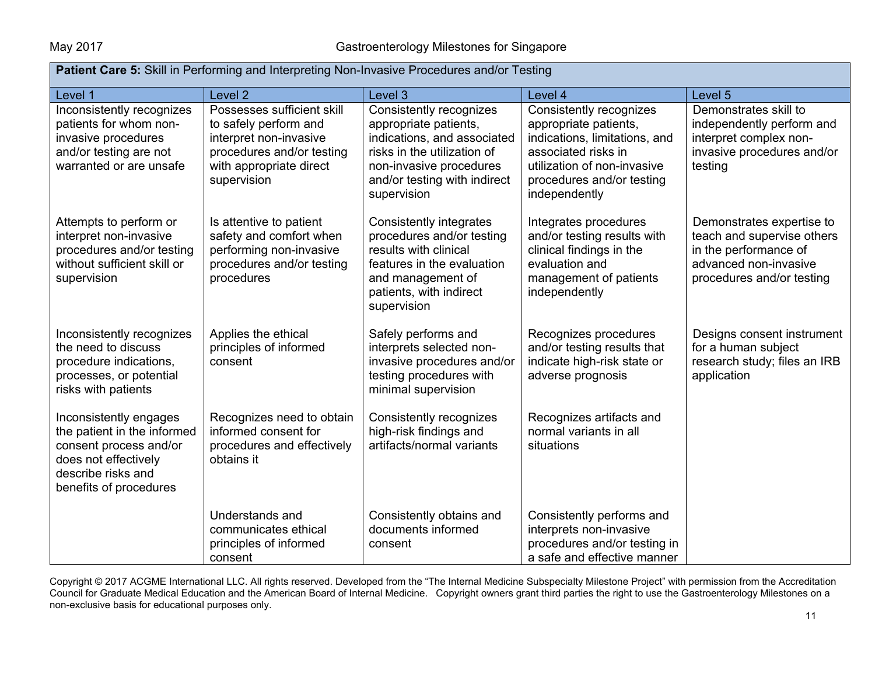| <b>Patient Care 5:</b> Skill in Performing and Interpreting Non-Invasive Procedures and/or Testing                                                      |                                                                                                                                                      |                                                                                                                                                                                          |                                                                                                                                                                                       |                                                                                                                                        |  |
|---------------------------------------------------------------------------------------------------------------------------------------------------------|------------------------------------------------------------------------------------------------------------------------------------------------------|------------------------------------------------------------------------------------------------------------------------------------------------------------------------------------------|---------------------------------------------------------------------------------------------------------------------------------------------------------------------------------------|----------------------------------------------------------------------------------------------------------------------------------------|--|
| Level 1                                                                                                                                                 | Level <sub>2</sub>                                                                                                                                   | Level 3                                                                                                                                                                                  | Level 4                                                                                                                                                                               | Level 5                                                                                                                                |  |
| Inconsistently recognizes<br>patients for whom non-<br>invasive procedures<br>and/or testing are not<br>warranted or are unsafe                         | Possesses sufficient skill<br>to safely perform and<br>interpret non-invasive<br>procedures and/or testing<br>with appropriate direct<br>supervision | Consistently recognizes<br>appropriate patients,<br>indications, and associated<br>risks in the utilization of<br>non-invasive procedures<br>and/or testing with indirect<br>supervision | Consistently recognizes<br>appropriate patients,<br>indications, limitations, and<br>associated risks in<br>utilization of non-invasive<br>procedures and/or testing<br>independently | Demonstrates skill to<br>independently perform and<br>interpret complex non-<br>invasive procedures and/or<br>testing                  |  |
| Attempts to perform or<br>interpret non-invasive<br>procedures and/or testing<br>without sufficient skill or<br>supervision                             | Is attentive to patient<br>safety and comfort when<br>performing non-invasive<br>procedures and/or testing<br>procedures                             | Consistently integrates<br>procedures and/or testing<br>results with clinical<br>features in the evaluation<br>and management of<br>patients, with indirect<br>supervision               | Integrates procedures<br>and/or testing results with<br>clinical findings in the<br>evaluation and<br>management of patients<br>independently                                         | Demonstrates expertise to<br>teach and supervise others<br>in the performance of<br>advanced non-invasive<br>procedures and/or testing |  |
| Inconsistently recognizes<br>the need to discuss<br>procedure indications,<br>processes, or potential<br>risks with patients                            | Applies the ethical<br>principles of informed<br>consent                                                                                             | Safely performs and<br>interprets selected non-<br>invasive procedures and/or<br>testing procedures with<br>minimal supervision                                                          | Recognizes procedures<br>and/or testing results that<br>indicate high-risk state or<br>adverse prognosis                                                                              | Designs consent instrument<br>for a human subject<br>research study; files an IRB<br>application                                       |  |
| Inconsistently engages<br>the patient in the informed<br>consent process and/or<br>does not effectively<br>describe risks and<br>benefits of procedures | Recognizes need to obtain<br>informed consent for<br>procedures and effectively<br>obtains it                                                        | Consistently recognizes<br>high-risk findings and<br>artifacts/normal variants                                                                                                           | Recognizes artifacts and<br>normal variants in all<br>situations                                                                                                                      |                                                                                                                                        |  |
|                                                                                                                                                         | Understands and<br>communicates ethical<br>principles of informed<br>consent                                                                         | Consistently obtains and<br>documents informed<br>consent                                                                                                                                | Consistently performs and<br>interprets non-invasive<br>procedures and/or testing in<br>a safe and effective manner                                                                   |                                                                                                                                        |  |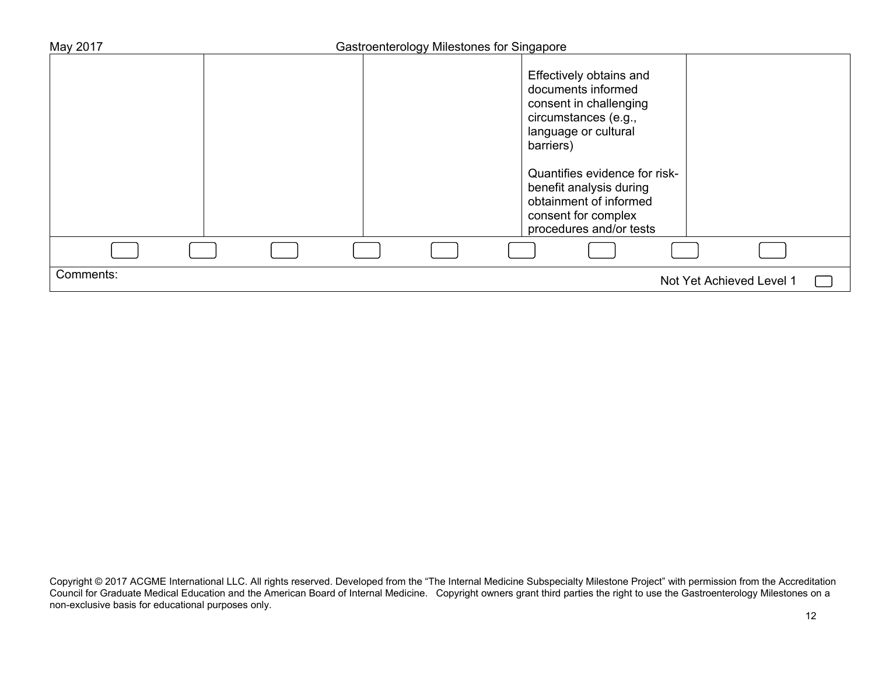| May 2017  | Gastroenterology Milestones for Singapore |                                                                                                                                                                                                  |                          |
|-----------|-------------------------------------------|--------------------------------------------------------------------------------------------------------------------------------------------------------------------------------------------------|--------------------------|
|           |                                           | Effectively obtains and<br>documents informed<br>consent in challenging<br>circumstances (e.g.,<br>language or cultural<br>barriers)<br>Quantifies evidence for risk-<br>benefit analysis during |                          |
|           |                                           | obtainment of informed<br>consent for complex<br>procedures and/or tests                                                                                                                         |                          |
|           |                                           |                                                                                                                                                                                                  |                          |
| Comments: |                                           |                                                                                                                                                                                                  | Not Yet Achieved Level 1 |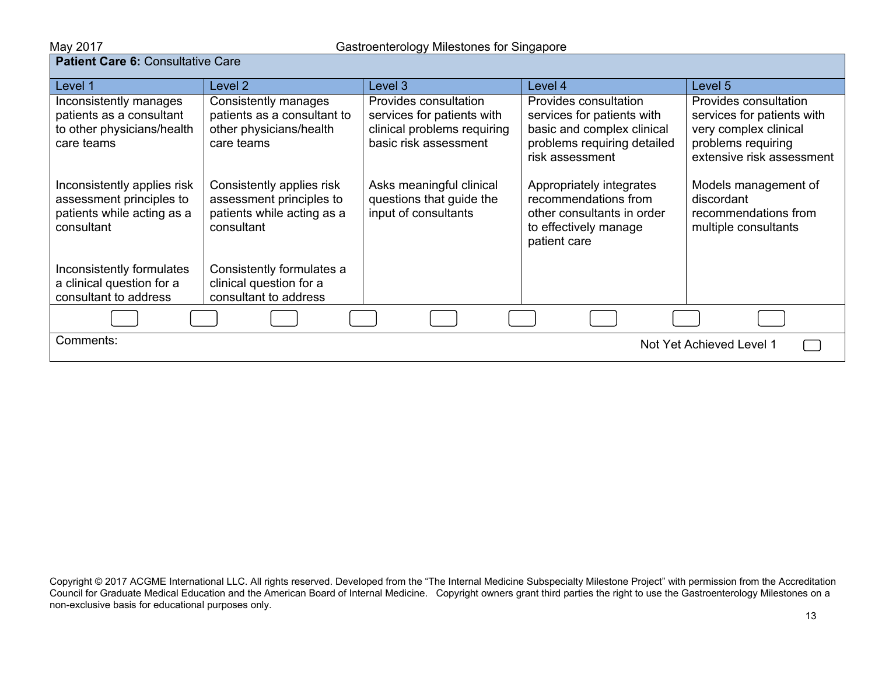**May 2017**<br>**Patient Care 6:** Consultative Care

| aucht Oare of Oblisandive Oare                                                                      |                                                                                                   |                                                                                                             |                                                                                                                                     |                                                                                                                                 |  |
|-----------------------------------------------------------------------------------------------------|---------------------------------------------------------------------------------------------------|-------------------------------------------------------------------------------------------------------------|-------------------------------------------------------------------------------------------------------------------------------------|---------------------------------------------------------------------------------------------------------------------------------|--|
| Level 1                                                                                             | Level 2                                                                                           | Level 3                                                                                                     | Level 4                                                                                                                             | Level 5                                                                                                                         |  |
| Inconsistently manages<br>patients as a consultant<br>to other physicians/health<br>care teams      | Consistently manages<br>patients as a consultant to<br>other physicians/health<br>care teams      | Provides consultation<br>services for patients with<br>clinical problems requiring<br>basic risk assessment | Provides consultation<br>services for patients with<br>basic and complex clinical<br>problems requiring detailed<br>risk assessment | Provides consultation<br>services for patients with<br>very complex clinical<br>problems requiring<br>extensive risk assessment |  |
| Inconsistently applies risk<br>assessment principles to<br>patients while acting as a<br>consultant | Consistently applies risk<br>assessment principles to<br>patients while acting as a<br>consultant | Asks meaningful clinical<br>questions that guide the<br>input of consultants                                | Appropriately integrates<br>recommendations from<br>other consultants in order<br>to effectively manage<br>patient care             | Models management of<br>discordant<br>recommendations from<br>multiple consultants                                              |  |
| Inconsistently formulates<br>a clinical question for a<br>consultant to address                     | Consistently formulates a<br>clinical question for a<br>consultant to address                     |                                                                                                             |                                                                                                                                     |                                                                                                                                 |  |
|                                                                                                     |                                                                                                   |                                                                                                             |                                                                                                                                     |                                                                                                                                 |  |
| Comments:                                                                                           |                                                                                                   |                                                                                                             |                                                                                                                                     | Not Yet Achieved Level 1                                                                                                        |  |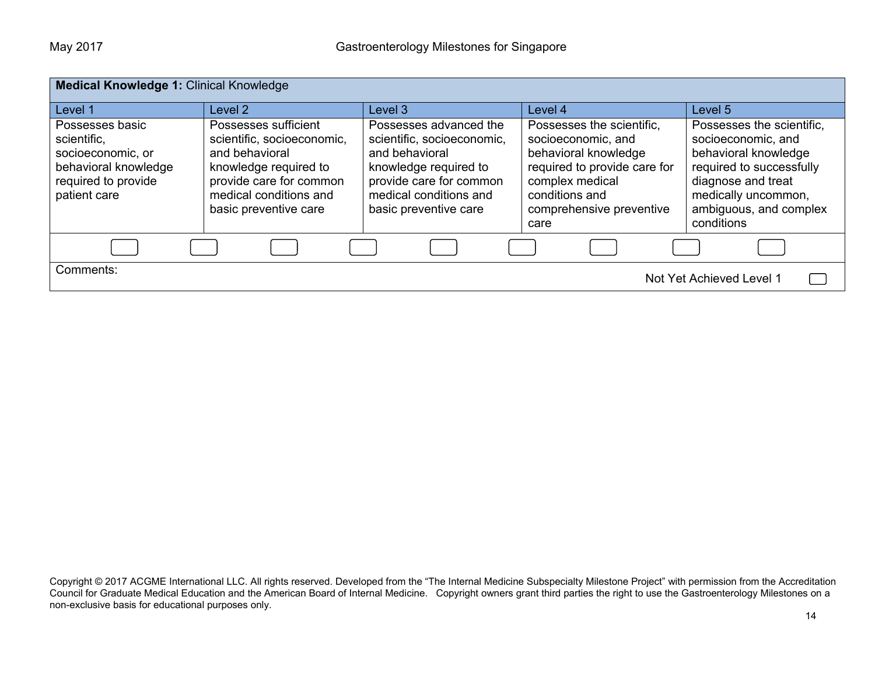| <b>Medical Knowledge 1: Clinical Knowledge</b>                                                                     |                                                                                                                                                                             |                                                                                                                                                                               |                                                                                                                                                                                  |                                                                                                                                                                                          |  |
|--------------------------------------------------------------------------------------------------------------------|-----------------------------------------------------------------------------------------------------------------------------------------------------------------------------|-------------------------------------------------------------------------------------------------------------------------------------------------------------------------------|----------------------------------------------------------------------------------------------------------------------------------------------------------------------------------|------------------------------------------------------------------------------------------------------------------------------------------------------------------------------------------|--|
| Level 1                                                                                                            | Level 2                                                                                                                                                                     | Level 3                                                                                                                                                                       | Level 4                                                                                                                                                                          | Level 5                                                                                                                                                                                  |  |
| Possesses basic<br>scientific.<br>socioeconomic, or<br>behavioral knowledge<br>required to provide<br>patient care | Possesses sufficient<br>scientific, socioeconomic,<br>and behavioral<br>knowledge required to<br>provide care for common<br>medical conditions and<br>basic preventive care | Possesses advanced the<br>scientific, socioeconomic,<br>and behavioral<br>knowledge required to<br>provide care for common<br>medical conditions and<br>basic preventive care | Possesses the scientific,<br>socioeconomic, and<br>behavioral knowledge<br>required to provide care for<br>complex medical<br>conditions and<br>comprehensive preventive<br>care | Possesses the scientific,<br>socioeconomic, and<br>behavioral knowledge<br>required to successfully<br>diagnose and treat<br>medically uncommon,<br>ambiguous, and complex<br>conditions |  |
|                                                                                                                    |                                                                                                                                                                             |                                                                                                                                                                               |                                                                                                                                                                                  |                                                                                                                                                                                          |  |
| Comments:                                                                                                          |                                                                                                                                                                             |                                                                                                                                                                               |                                                                                                                                                                                  | Not Yet Achieved Level 1                                                                                                                                                                 |  |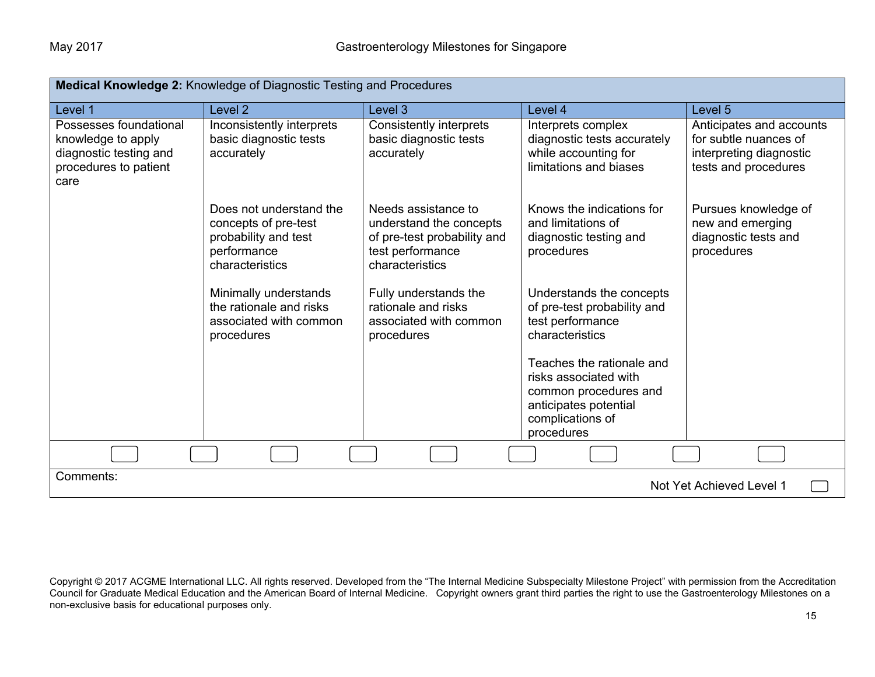| Medical Knowledge 2: Knowledge of Diagnostic Testing and Procedures                                     |                                                                                                           |                                                                                                                      |                                                                                                                                        |                                                                                                      |  |
|---------------------------------------------------------------------------------------------------------|-----------------------------------------------------------------------------------------------------------|----------------------------------------------------------------------------------------------------------------------|----------------------------------------------------------------------------------------------------------------------------------------|------------------------------------------------------------------------------------------------------|--|
| Level 1                                                                                                 | Level <sub>2</sub>                                                                                        | Level <sub>3</sub>                                                                                                   | Level 4                                                                                                                                | Level <sub>5</sub>                                                                                   |  |
| Possesses foundational<br>knowledge to apply<br>diagnostic testing and<br>procedures to patient<br>care | Inconsistently interprets<br>basic diagnostic tests<br>accurately                                         | Consistently interprets<br>basic diagnostic tests<br>accurately                                                      | Interprets complex<br>diagnostic tests accurately<br>while accounting for<br>limitations and biases                                    | Anticipates and accounts<br>for subtle nuances of<br>interpreting diagnostic<br>tests and procedures |  |
|                                                                                                         | Does not understand the<br>concepts of pre-test<br>probability and test<br>performance<br>characteristics | Needs assistance to<br>understand the concepts<br>of pre-test probability and<br>test performance<br>characteristics | Knows the indications for<br>and limitations of<br>diagnostic testing and<br>procedures                                                | Pursues knowledge of<br>new and emerging<br>diagnostic tests and<br>procedures                       |  |
|                                                                                                         | Minimally understands<br>the rationale and risks<br>associated with common<br>procedures                  | Fully understands the<br>rationale and risks<br>associated with common<br>procedures                                 | Understands the concepts<br>of pre-test probability and<br>test performance<br>characteristics                                         |                                                                                                      |  |
|                                                                                                         |                                                                                                           |                                                                                                                      | Teaches the rationale and<br>risks associated with<br>common procedures and<br>anticipates potential<br>complications of<br>procedures |                                                                                                      |  |
|                                                                                                         |                                                                                                           |                                                                                                                      |                                                                                                                                        |                                                                                                      |  |
| Comments:<br>Not Yet Achieved Level 1                                                                   |                                                                                                           |                                                                                                                      |                                                                                                                                        |                                                                                                      |  |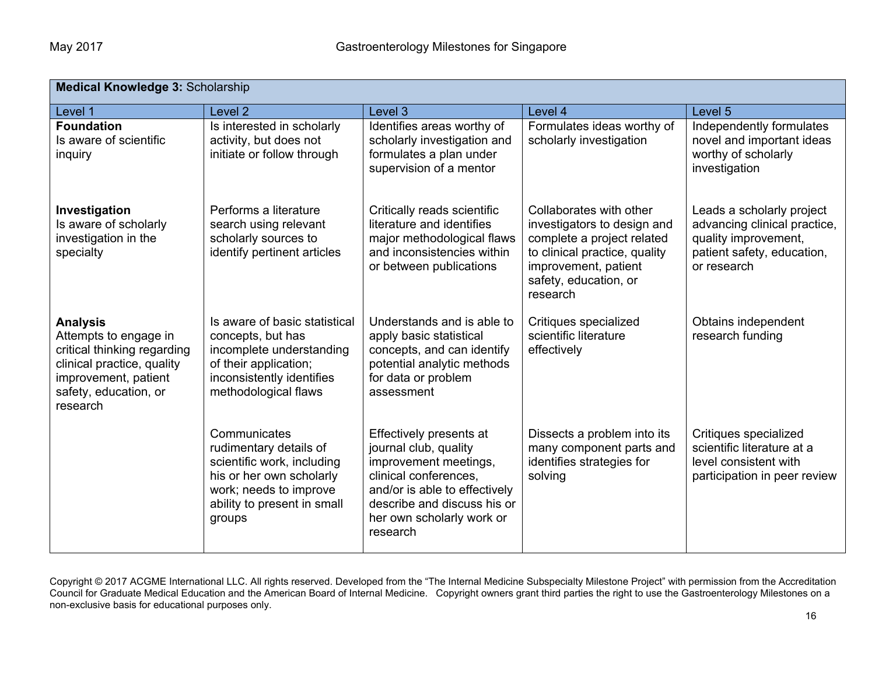| <b>Medical Knowledge 3: Scholarship</b>                                                                                                                            |                                                                                                                                                                     |                                                                                                                                                                                                             |                                                                                                                                                                                    |                                                                                                                                |  |
|--------------------------------------------------------------------------------------------------------------------------------------------------------------------|---------------------------------------------------------------------------------------------------------------------------------------------------------------------|-------------------------------------------------------------------------------------------------------------------------------------------------------------------------------------------------------------|------------------------------------------------------------------------------------------------------------------------------------------------------------------------------------|--------------------------------------------------------------------------------------------------------------------------------|--|
| Level 1                                                                                                                                                            | Level <sub>2</sub>                                                                                                                                                  | Level 3                                                                                                                                                                                                     | Level 4                                                                                                                                                                            | Level 5                                                                                                                        |  |
| <b>Foundation</b><br>Is aware of scientific<br>inquiry                                                                                                             | Is interested in scholarly<br>activity, but does not<br>initiate or follow through                                                                                  | Identifies areas worthy of<br>scholarly investigation and<br>formulates a plan under<br>supervision of a mentor                                                                                             | Formulates ideas worthy of<br>scholarly investigation                                                                                                                              | Independently formulates<br>novel and important ideas<br>worthy of scholarly<br>investigation                                  |  |
| Investigation<br>Is aware of scholarly<br>investigation in the<br>specialty                                                                                        | Performs a literature<br>search using relevant<br>scholarly sources to<br>identify pertinent articles                                                               | Critically reads scientific<br>literature and identifies<br>major methodological flaws<br>and inconsistencies within<br>or between publications                                                             | Collaborates with other<br>investigators to design and<br>complete a project related<br>to clinical practice, quality<br>improvement, patient<br>safety, education, or<br>research | Leads a scholarly project<br>advancing clinical practice,<br>quality improvement,<br>patient safety, education,<br>or research |  |
| <b>Analysis</b><br>Attempts to engage in<br>critical thinking regarding<br>clinical practice, quality<br>improvement, patient<br>safety, education, or<br>research | Is aware of basic statistical<br>concepts, but has<br>incomplete understanding<br>of their application;<br>inconsistently identifies<br>methodological flaws        | Understands and is able to<br>apply basic statistical<br>concepts, and can identify<br>potential analytic methods<br>for data or problem<br>assessment                                                      | Critiques specialized<br>scientific literature<br>effectively                                                                                                                      | Obtains independent<br>research funding                                                                                        |  |
|                                                                                                                                                                    | Communicates<br>rudimentary details of<br>scientific work, including<br>his or her own scholarly<br>work; needs to improve<br>ability to present in small<br>groups | Effectively presents at<br>journal club, quality<br>improvement meetings,<br>clinical conferences,<br>and/or is able to effectively<br>describe and discuss his or<br>her own scholarly work or<br>research | Dissects a problem into its<br>many component parts and<br>identifies strategies for<br>solving                                                                                    | Critiques specialized<br>scientific literature at a<br>level consistent with<br>participation in peer review                   |  |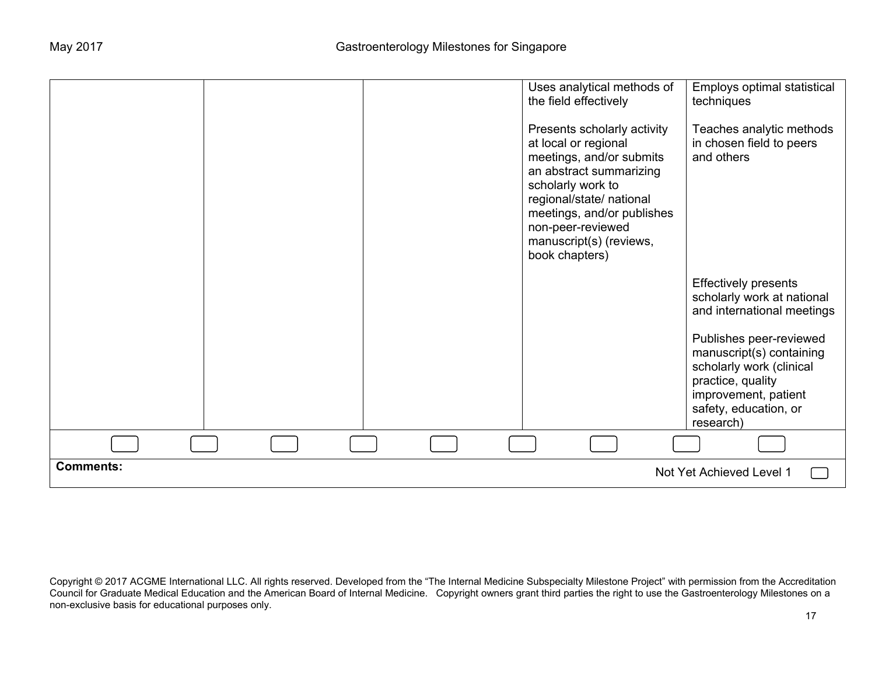|                  |  | Uses analytical methods of<br>the field effectively<br>Presents scholarly activity<br>at local or regional<br>meetings, and/or submits<br>an abstract summarizing<br>scholarly work to<br>regional/state/ national<br>meetings, and/or publishes<br>non-peer-reviewed<br>manuscript(s) (reviews,<br>book chapters) | Employs optimal statistical<br>techniques<br>Teaches analytic methods<br>in chosen field to peers<br>and others                                                                                                                                               |
|------------------|--|--------------------------------------------------------------------------------------------------------------------------------------------------------------------------------------------------------------------------------------------------------------------------------------------------------------------|---------------------------------------------------------------------------------------------------------------------------------------------------------------------------------------------------------------------------------------------------------------|
|                  |  |                                                                                                                                                                                                                                                                                                                    | <b>Effectively presents</b><br>scholarly work at national<br>and international meetings<br>Publishes peer-reviewed<br>manuscript(s) containing<br>scholarly work (clinical<br>practice, quality<br>improvement, patient<br>safety, education, or<br>research) |
|                  |  |                                                                                                                                                                                                                                                                                                                    |                                                                                                                                                                                                                                                               |
| <b>Comments:</b> |  |                                                                                                                                                                                                                                                                                                                    | Not Yet Achieved Level 1                                                                                                                                                                                                                                      |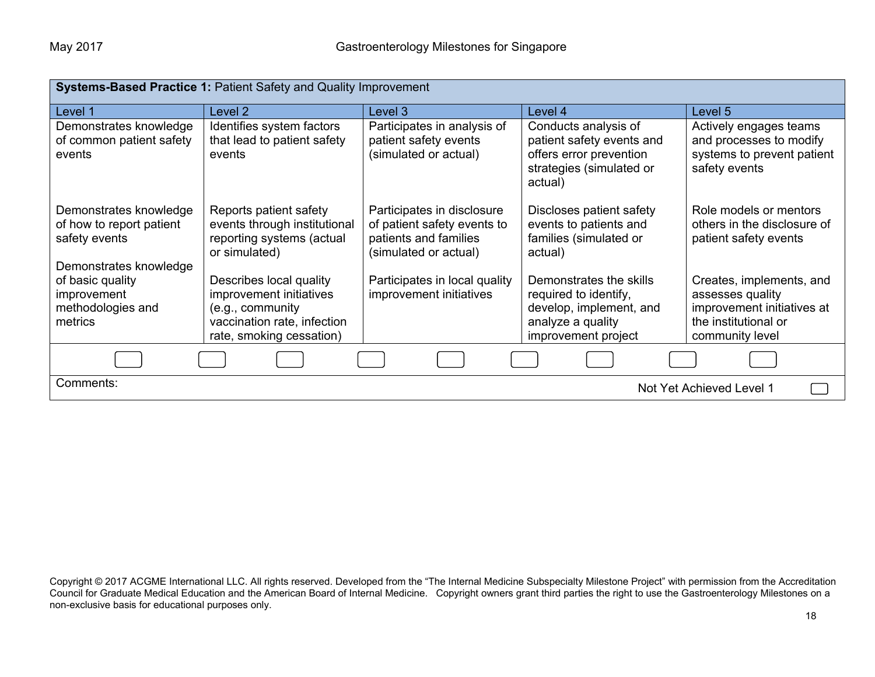| <b>Systems-Based Practice 1: Patient Safety and Quality Improvement</b>                       |                                                                                                                                   |                                                                                                             |                                                                                                                         |                                                                                                                       |
|-----------------------------------------------------------------------------------------------|-----------------------------------------------------------------------------------------------------------------------------------|-------------------------------------------------------------------------------------------------------------|-------------------------------------------------------------------------------------------------------------------------|-----------------------------------------------------------------------------------------------------------------------|
| Level 1                                                                                       | Level 2                                                                                                                           | Level 3                                                                                                     | Level 4                                                                                                                 | Level 5                                                                                                               |
| Demonstrates knowledge<br>of common patient safety<br>events                                  | Identifies system factors<br>that lead to patient safety<br>events                                                                | Participates in analysis of<br>patient safety events<br>(simulated or actual)                               | Conducts analysis of<br>patient safety events and<br>offers error prevention<br>strategies (simulated or<br>actual)     | Actively engages teams<br>and processes to modify<br>systems to prevent patient<br>safety events                      |
| Demonstrates knowledge<br>of how to report patient<br>safety events<br>Demonstrates knowledge | Reports patient safety<br>events through institutional<br>reporting systems (actual<br>or simulated)                              | Participates in disclosure<br>of patient safety events to<br>patients and families<br>(simulated or actual) | Discloses patient safety<br>events to patients and<br>families (simulated or<br>actual)                                 | Role models or mentors<br>others in the disclosure of<br>patient safety events                                        |
| of basic quality<br>improvement<br>methodologies and<br>metrics                               | Describes local quality<br>improvement initiatives<br>(e.g., community<br>vaccination rate, infection<br>rate, smoking cessation) | Participates in local quality<br>improvement initiatives                                                    | Demonstrates the skills<br>required to identify,<br>develop, implement, and<br>analyze a quality<br>improvement project | Creates, implements, and<br>assesses quality<br>improvement initiatives at<br>the institutional or<br>community level |
|                                                                                               |                                                                                                                                   |                                                                                                             |                                                                                                                         |                                                                                                                       |
| Comments:                                                                                     |                                                                                                                                   |                                                                                                             |                                                                                                                         | Not Yet Achieved Level 1                                                                                              |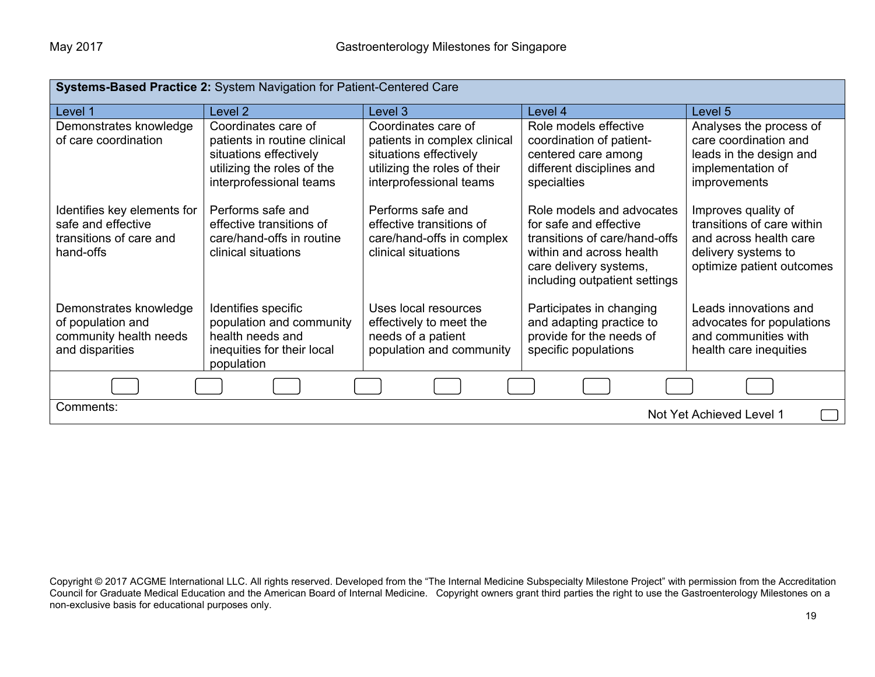| Systems-Based Practice 2: System Navigation for Patient-Centered Care                     |                                                                                                                                        |                                                                                                                                          |                                                                                                                                                                             |                                                                                                                                 |
|-------------------------------------------------------------------------------------------|----------------------------------------------------------------------------------------------------------------------------------------|------------------------------------------------------------------------------------------------------------------------------------------|-----------------------------------------------------------------------------------------------------------------------------------------------------------------------------|---------------------------------------------------------------------------------------------------------------------------------|
| Level 1                                                                                   | Level <sub>2</sub>                                                                                                                     | Level 3                                                                                                                                  | Level 4                                                                                                                                                                     | Level 5                                                                                                                         |
| Demonstrates knowledge<br>of care coordination                                            | Coordinates care of<br>patients in routine clinical<br>situations effectively<br>utilizing the roles of the<br>interprofessional teams | Coordinates care of<br>patients in complex clinical<br>situations effectively<br>utilizing the roles of their<br>interprofessional teams | Role models effective<br>coordination of patient-<br>centered care among<br>different disciplines and<br>specialties                                                        | Analyses the process of<br>care coordination and<br>leads in the design and<br>implementation of<br>improvements                |
| Identifies key elements for<br>safe and effective<br>transitions of care and<br>hand-offs | Performs safe and<br>effective transitions of<br>care/hand-offs in routine<br>clinical situations                                      | Performs safe and<br>effective transitions of<br>care/hand-offs in complex<br>clinical situations                                        | Role models and advocates<br>for safe and effective<br>transitions of care/hand-offs<br>within and across health<br>care delivery systems,<br>including outpatient settings | Improves quality of<br>transitions of care within<br>and across health care<br>delivery systems to<br>optimize patient outcomes |
| Demonstrates knowledge<br>of population and<br>community health needs<br>and disparities  | Identifies specific<br>population and community<br>health needs and<br>inequities for their local<br>population                        | Uses local resources<br>effectively to meet the<br>needs of a patient<br>population and community                                        | Participates in changing<br>and adapting practice to<br>provide for the needs of<br>specific populations                                                                    | Leads innovations and<br>advocates for populations<br>and communities with<br>health care inequities                            |
|                                                                                           |                                                                                                                                        |                                                                                                                                          |                                                                                                                                                                             |                                                                                                                                 |
| Comments:<br>Not Yet Achieved Level 1                                                     |                                                                                                                                        |                                                                                                                                          |                                                                                                                                                                             |                                                                                                                                 |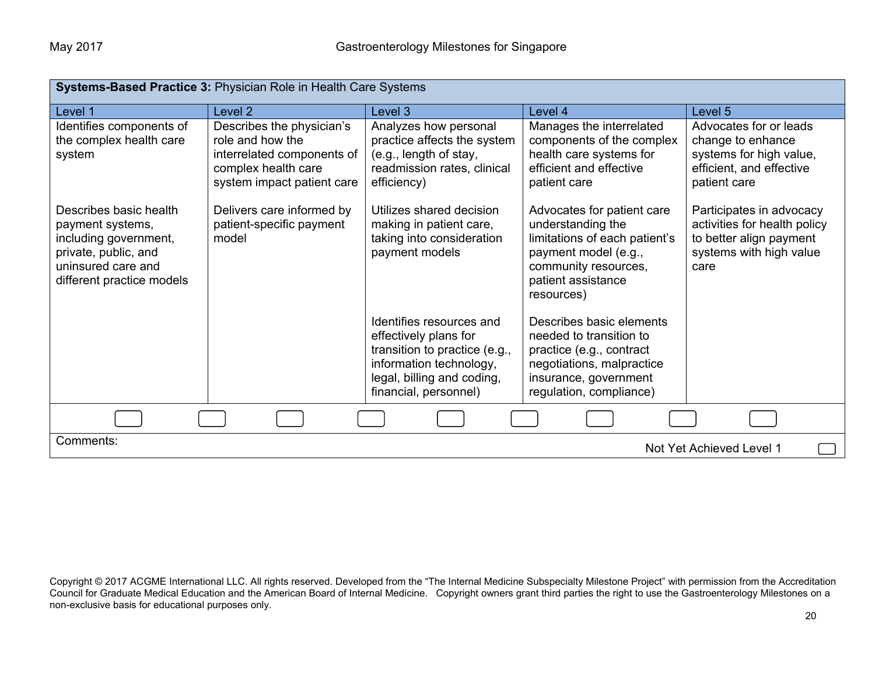| Systems-Based Practice 3: Physician Role in Health Care Systems                                                                                |                                                                                                                                  |                                                                                                                                                                      |                                                                                                                                                                      |                                                                                                                        |
|------------------------------------------------------------------------------------------------------------------------------------------------|----------------------------------------------------------------------------------------------------------------------------------|----------------------------------------------------------------------------------------------------------------------------------------------------------------------|----------------------------------------------------------------------------------------------------------------------------------------------------------------------|------------------------------------------------------------------------------------------------------------------------|
| Level 1                                                                                                                                        | Level 2                                                                                                                          | Level 3                                                                                                                                                              | Level 4                                                                                                                                                              | Level <sub>5</sub>                                                                                                     |
| Identifies components of<br>the complex health care<br>system                                                                                  | Describes the physician's<br>role and how the<br>interrelated components of<br>complex health care<br>system impact patient care | Analyzes how personal<br>practice affects the system<br>(e.g., length of stay,<br>readmission rates, clinical<br>efficiency)                                         | Manages the interrelated<br>components of the complex<br>health care systems for<br>efficient and effective<br>patient care                                          | Advocates for or leads<br>change to enhance<br>systems for high value,<br>efficient, and effective<br>patient care     |
| Describes basic health<br>payment systems,<br>including government,<br>private, public, and<br>uninsured care and<br>different practice models | Delivers care informed by<br>patient-specific payment<br>model                                                                   | Utilizes shared decision<br>making in patient care,<br>taking into consideration<br>payment models                                                                   | Advocates for patient care<br>understanding the<br>limitations of each patient's<br>payment model (e.g.,<br>community resources,<br>patient assistance<br>resources) | Participates in advocacy<br>activities for health policy<br>to better align payment<br>systems with high value<br>care |
|                                                                                                                                                |                                                                                                                                  | Identifies resources and<br>effectively plans for<br>transition to practice (e.g.,<br>information technology,<br>legal, billing and coding,<br>financial, personnel) | Describes basic elements<br>needed to transition to<br>practice (e.g., contract<br>negotiations, malpractice<br>insurance, government<br>regulation, compliance)     |                                                                                                                        |
|                                                                                                                                                |                                                                                                                                  |                                                                                                                                                                      |                                                                                                                                                                      |                                                                                                                        |
| Comments:<br>Not Yet Achieved Level 1                                                                                                          |                                                                                                                                  |                                                                                                                                                                      |                                                                                                                                                                      |                                                                                                                        |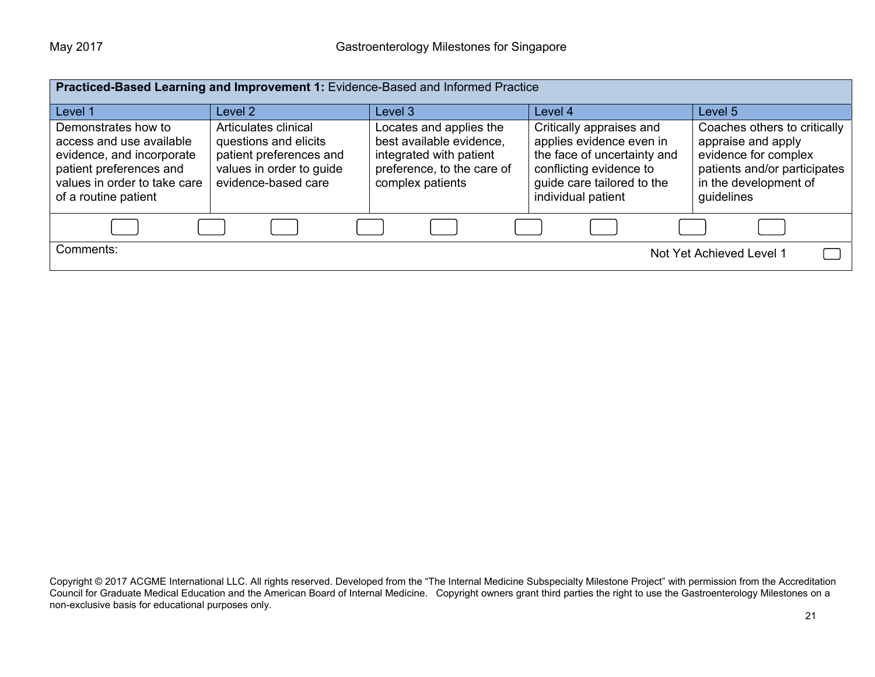|                                                                                                                                                                 |                                                                                                                             | Practiced-Based Learning and Improvement 1: Evidence-Based and Informed Practice                                                 |                                                                                                                                                                    |                                                                                                                                                   |
|-----------------------------------------------------------------------------------------------------------------------------------------------------------------|-----------------------------------------------------------------------------------------------------------------------------|----------------------------------------------------------------------------------------------------------------------------------|--------------------------------------------------------------------------------------------------------------------------------------------------------------------|---------------------------------------------------------------------------------------------------------------------------------------------------|
| Level 1                                                                                                                                                         | Level 2                                                                                                                     | Level 3                                                                                                                          | Level 4                                                                                                                                                            | Level 5                                                                                                                                           |
| Demonstrates how to<br>access and use available<br>evidence, and incorporate<br>patient preferences and<br>values in order to take care<br>of a routine patient | Articulates clinical<br>questions and elicits<br>patient preferences and<br>values in order to guide<br>evidence-based care | Locates and applies the<br>best available evidence,<br>integrated with patient<br>preference, to the care of<br>complex patients | Critically appraises and<br>applies evidence even in<br>the face of uncertainty and<br>conflicting evidence to<br>guide care tailored to the<br>individual patient | Coaches others to critically<br>appraise and apply<br>evidence for complex<br>patients and/or participates<br>in the development of<br>guidelines |
|                                                                                                                                                                 |                                                                                                                             |                                                                                                                                  |                                                                                                                                                                    |                                                                                                                                                   |
| Comments:                                                                                                                                                       |                                                                                                                             |                                                                                                                                  |                                                                                                                                                                    | Not Yet Achieved Level 1                                                                                                                          |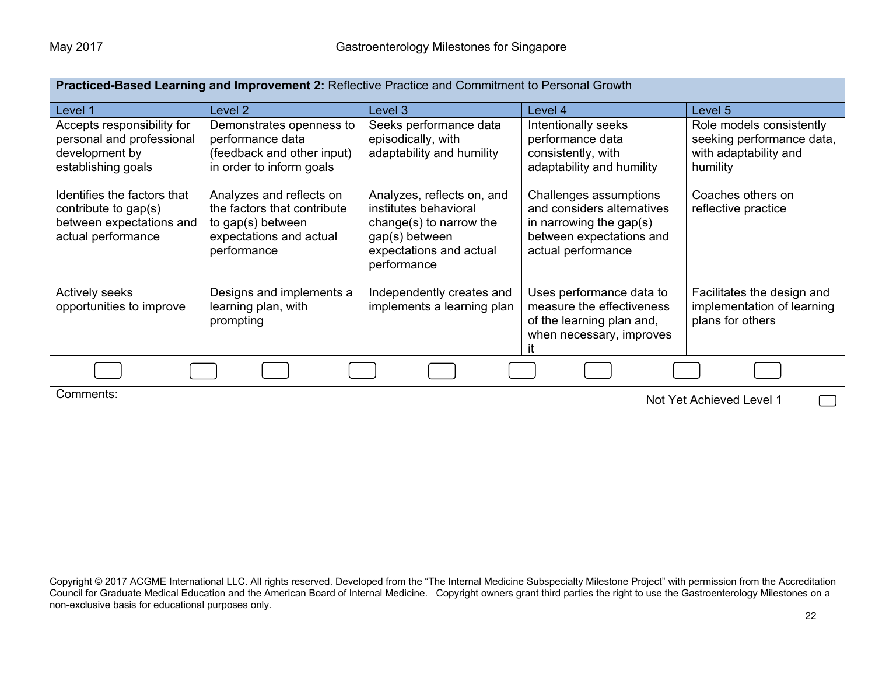| Practiced-Based Learning and Improvement 2: Reflective Practice and Commitment to Personal Growth     |                                                                                                                        |                                                                                                                                            |                                                                                                                                      |                                                                                            |  |
|-------------------------------------------------------------------------------------------------------|------------------------------------------------------------------------------------------------------------------------|--------------------------------------------------------------------------------------------------------------------------------------------|--------------------------------------------------------------------------------------------------------------------------------------|--------------------------------------------------------------------------------------------|--|
| Level 1                                                                                               | Level 2                                                                                                                | Level 3                                                                                                                                    | Level 4                                                                                                                              | Level 5                                                                                    |  |
| Accepts responsibility for<br>personal and professional<br>development by<br>establishing goals       | Demonstrates openness to<br>performance data<br>(feedback and other input)<br>in order to inform goals                 | Seeks performance data<br>episodically, with<br>adaptability and humility                                                                  | Intentionally seeks<br>performance data<br>consistently, with<br>adaptability and humility                                           | Role models consistently<br>seeking performance data,<br>with adaptability and<br>humility |  |
| Identifies the factors that<br>contribute to gap(s)<br>between expectations and<br>actual performance | Analyzes and reflects on<br>the factors that contribute<br>to gap(s) between<br>expectations and actual<br>performance | Analyzes, reflects on, and<br>institutes behavioral<br>change(s) to narrow the<br>gap(s) between<br>expectations and actual<br>performance | Challenges assumptions<br>and considers alternatives<br>in narrowing the gap $(s)$<br>between expectations and<br>actual performance | Coaches others on<br>reflective practice                                                   |  |
| <b>Actively seeks</b><br>opportunities to improve                                                     | Designs and implements a<br>learning plan, with<br>prompting                                                           | Independently creates and<br>implements a learning plan                                                                                    | Uses performance data to<br>measure the effectiveness<br>of the learning plan and,<br>when necessary, improves                       | Facilitates the design and<br>implementation of learning<br>plans for others               |  |
|                                                                                                       |                                                                                                                        |                                                                                                                                            |                                                                                                                                      |                                                                                            |  |
| Comments:                                                                                             |                                                                                                                        |                                                                                                                                            |                                                                                                                                      | Not Yet Achieved Level 1                                                                   |  |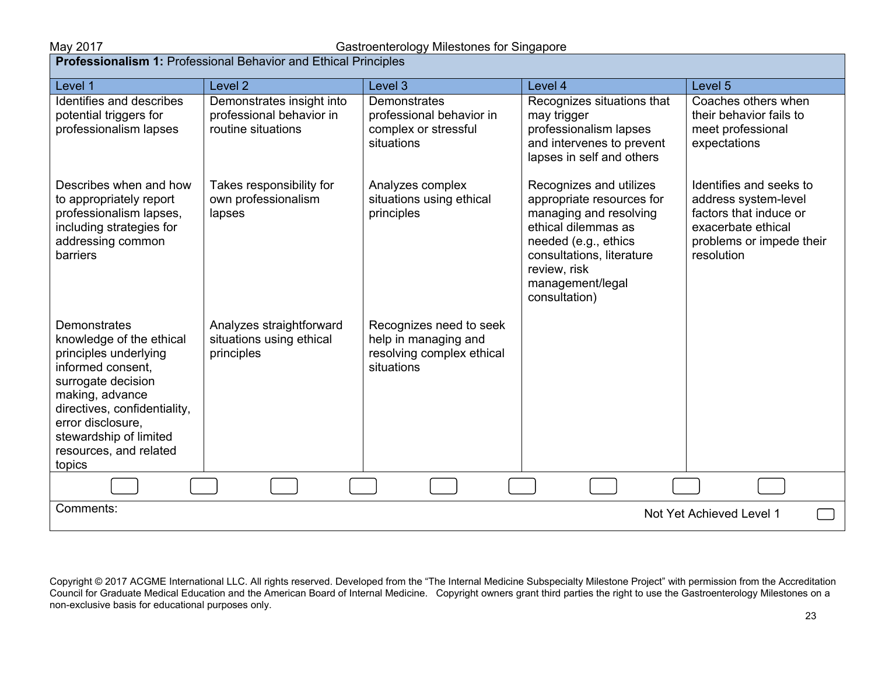| Level 1                                                                                                                                                                                                                                            | Level <sub>2</sub>                                                          | Level 3                                                                                    | Level 4                                                                                                                                                                                                         | Level 5                                                                                                                                   |
|----------------------------------------------------------------------------------------------------------------------------------------------------------------------------------------------------------------------------------------------------|-----------------------------------------------------------------------------|--------------------------------------------------------------------------------------------|-----------------------------------------------------------------------------------------------------------------------------------------------------------------------------------------------------------------|-------------------------------------------------------------------------------------------------------------------------------------------|
| Identifies and describes<br>potential triggers for<br>professionalism lapses                                                                                                                                                                       | Demonstrates insight into<br>professional behavior in<br>routine situations | Demonstrates<br>professional behavior in<br>complex or stressful<br>situations             | Recognizes situations that<br>may trigger<br>professionalism lapses<br>and intervenes to prevent<br>lapses in self and others                                                                                   | Coaches others when<br>their behavior fails to<br>meet professional<br>expectations                                                       |
| Describes when and how<br>to appropriately report<br>professionalism lapses,<br>including strategies for<br>addressing common<br><b>barriers</b>                                                                                                   | Takes responsibility for<br>own professionalism<br>lapses                   | Analyzes complex<br>situations using ethical<br>principles                                 | Recognizes and utilizes<br>appropriate resources for<br>managing and resolving<br>ethical dilemmas as<br>needed (e.g., ethics<br>consultations, literature<br>review, risk<br>management/legal<br>consultation) | Identifies and seeks to<br>address system-level<br>factors that induce or<br>exacerbate ethical<br>problems or impede their<br>resolution |
| Demonstrates<br>knowledge of the ethical<br>principles underlying<br>informed consent.<br>surrogate decision<br>making, advance<br>directives, confidentiality,<br>error disclosure,<br>stewardship of limited<br>resources, and related<br>topics | Analyzes straightforward<br>situations using ethical<br>principles          | Recognizes need to seek<br>help in managing and<br>resolving complex ethical<br>situations |                                                                                                                                                                                                                 |                                                                                                                                           |
|                                                                                                                                                                                                                                                    |                                                                             |                                                                                            |                                                                                                                                                                                                                 |                                                                                                                                           |
| Comments:<br>Not Yet Achieved Level 1                                                                                                                                                                                                              |                                                                             |                                                                                            |                                                                                                                                                                                                                 |                                                                                                                                           |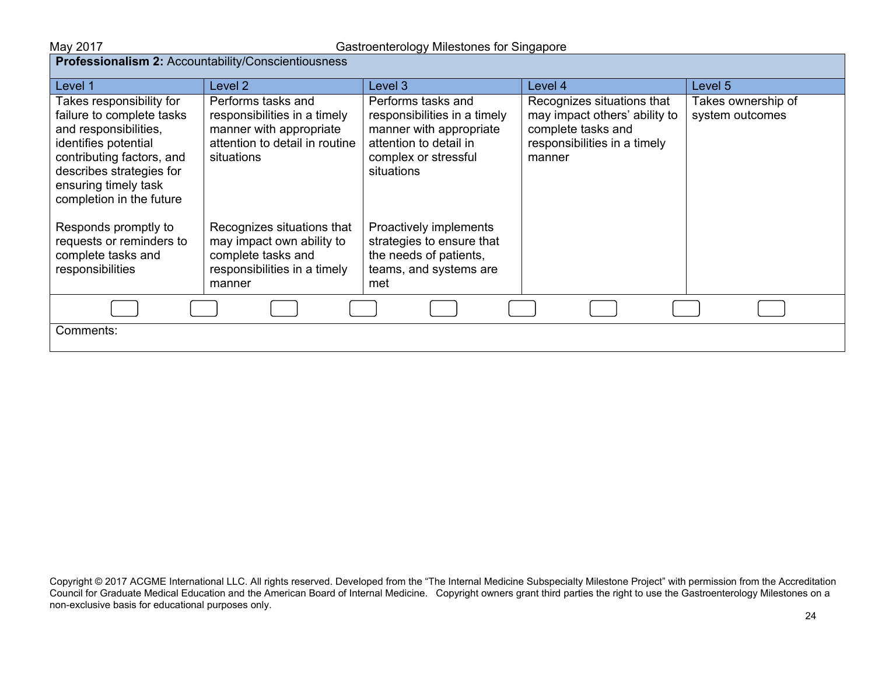| Professionalism 2: Accountability/Conscientiousness                                                                                                                                                                 |                                                                                                                               |                                                                                                                                               |                                                                                                                             |                                       |  |
|---------------------------------------------------------------------------------------------------------------------------------------------------------------------------------------------------------------------|-------------------------------------------------------------------------------------------------------------------------------|-----------------------------------------------------------------------------------------------------------------------------------------------|-----------------------------------------------------------------------------------------------------------------------------|---------------------------------------|--|
| Level 1                                                                                                                                                                                                             | Level 2                                                                                                                       | Level 3                                                                                                                                       | Level 4                                                                                                                     | Level 5                               |  |
| Takes responsibility for<br>failure to complete tasks<br>and responsibilities,<br>identifies potential<br>contributing factors, and<br>describes strategies for<br>ensuring timely task<br>completion in the future | Performs tasks and<br>responsibilities in a timely<br>manner with appropriate<br>attention to detail in routine<br>situations | Performs tasks and<br>responsibilities in a timely<br>manner with appropriate<br>attention to detail in<br>complex or stressful<br>situations | Recognizes situations that<br>may impact others' ability to<br>complete tasks and<br>responsibilities in a timely<br>manner | Takes ownership of<br>system outcomes |  |
| Responds promptly to<br>requests or reminders to<br>complete tasks and<br>responsibilities                                                                                                                          | Recognizes situations that<br>may impact own ability to<br>complete tasks and<br>responsibilities in a timely<br>manner       | Proactively implements<br>strategies to ensure that<br>the needs of patients,<br>teams, and systems are<br>met                                |                                                                                                                             |                                       |  |
|                                                                                                                                                                                                                     |                                                                                                                               |                                                                                                                                               |                                                                                                                             |                                       |  |
| Comments:                                                                                                                                                                                                           |                                                                                                                               |                                                                                                                                               |                                                                                                                             |                                       |  |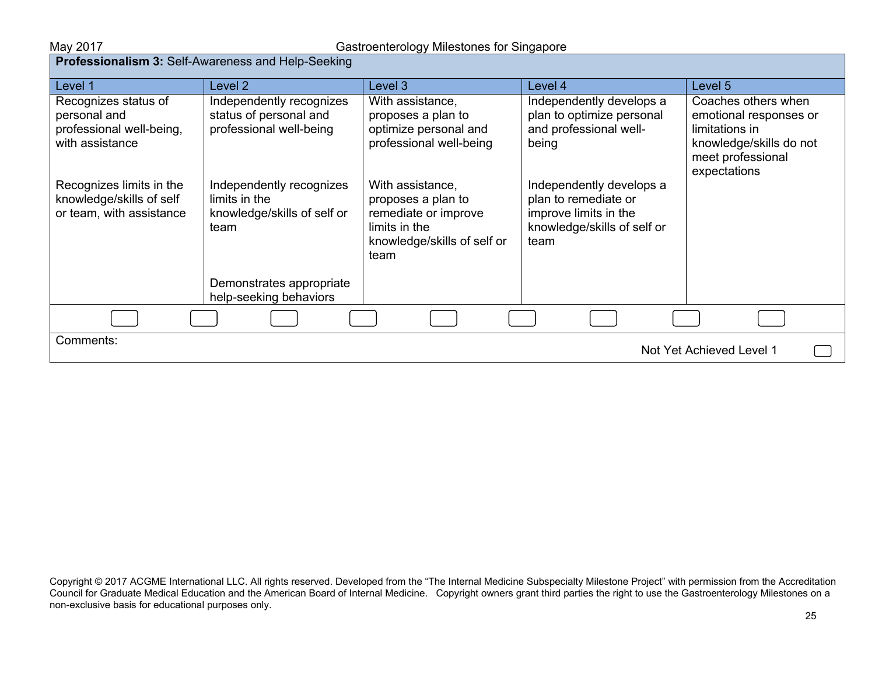| <b>Professionalism 3: Self-Awareness and Help-Seeking</b>                           |                                                                                  |                                                                                                                        |                                                                                                                  |                                                                                                                                 |
|-------------------------------------------------------------------------------------|----------------------------------------------------------------------------------|------------------------------------------------------------------------------------------------------------------------|------------------------------------------------------------------------------------------------------------------|---------------------------------------------------------------------------------------------------------------------------------|
| Level 1                                                                             | Level 2                                                                          | Level 3                                                                                                                | Level 4                                                                                                          | Level 5                                                                                                                         |
| Recognizes status of<br>personal and<br>professional well-being,<br>with assistance | Independently recognizes<br>status of personal and<br>professional well-being    | With assistance,<br>proposes a plan to<br>optimize personal and<br>professional well-being                             | Independently develops a<br>plan to optimize personal<br>and professional well-<br>being                         | Coaches others when<br>emotional responses or<br>limitations in<br>knowledge/skills do not<br>meet professional<br>expectations |
| Recognizes limits in the<br>knowledge/skills of self<br>or team, with assistance    | Independently recognizes<br>limits in the<br>knowledge/skills of self or<br>team | With assistance,<br>proposes a plan to<br>remediate or improve<br>limits in the<br>knowledge/skills of self or<br>team | Independently develops a<br>plan to remediate or<br>improve limits in the<br>knowledge/skills of self or<br>team |                                                                                                                                 |
|                                                                                     | Demonstrates appropriate<br>help-seeking behaviors                               |                                                                                                                        |                                                                                                                  |                                                                                                                                 |
|                                                                                     |                                                                                  |                                                                                                                        |                                                                                                                  |                                                                                                                                 |
| Comments:                                                                           |                                                                                  |                                                                                                                        |                                                                                                                  | Not Yet Achieved Level 1                                                                                                        |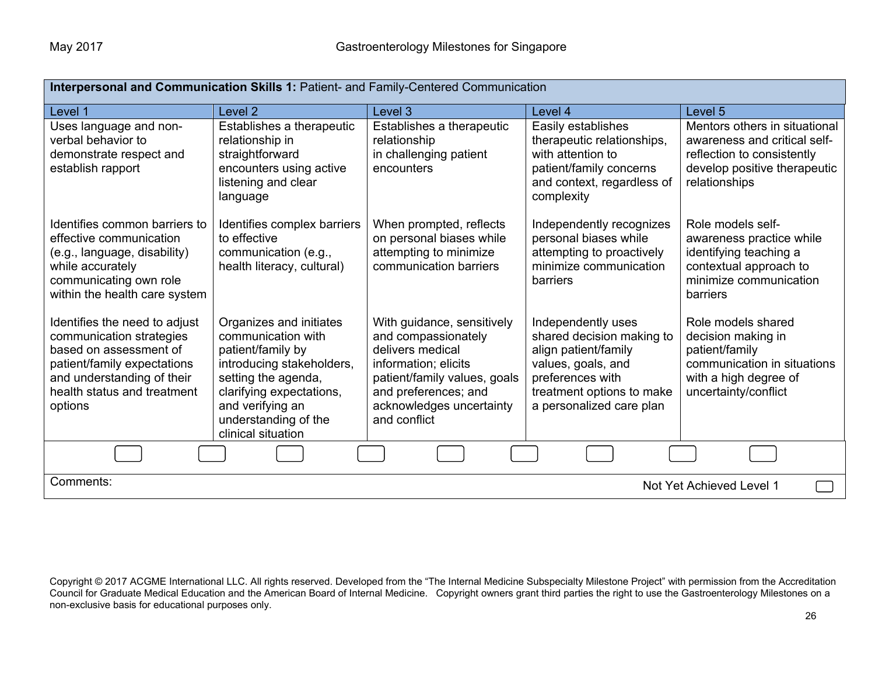| Interpersonal and Communication Skills 1: Patient- and Family-Centered Communication                                                                                                       |                                                                                                                                                                                                                      |                                                                                                                                                                                                   |                                                                                                                                                                            |                                                                                                                                                |  |
|--------------------------------------------------------------------------------------------------------------------------------------------------------------------------------------------|----------------------------------------------------------------------------------------------------------------------------------------------------------------------------------------------------------------------|---------------------------------------------------------------------------------------------------------------------------------------------------------------------------------------------------|----------------------------------------------------------------------------------------------------------------------------------------------------------------------------|------------------------------------------------------------------------------------------------------------------------------------------------|--|
| Level 1                                                                                                                                                                                    | Level <sub>2</sub>                                                                                                                                                                                                   | Level 3                                                                                                                                                                                           | Level 4                                                                                                                                                                    | Level 5                                                                                                                                        |  |
| Uses language and non-<br>verbal behavior to<br>demonstrate respect and<br>establish rapport                                                                                               | Establishes a therapeutic<br>relationship in<br>straightforward<br>encounters using active<br>listening and clear<br>language                                                                                        | Establishes a therapeutic<br>relationship<br>in challenging patient<br>encounters                                                                                                                 | Easily establishes<br>therapeutic relationships,<br>with attention to<br>patient/family concerns<br>and context, regardless of<br>complexity                               | Mentors others in situational<br>awareness and critical self-<br>reflection to consistently<br>develop positive therapeutic<br>relationships   |  |
| Identifies common barriers to<br>effective communication<br>(e.g., language, disability)<br>while accurately<br>communicating own role<br>within the health care system                    | Identifies complex barriers<br>to effective<br>communication (e.g.,<br>health literacy, cultural)                                                                                                                    | When prompted, reflects<br>on personal biases while<br>attempting to minimize<br>communication barriers                                                                                           | Independently recognizes<br>personal biases while<br>attempting to proactively<br>minimize communication<br>barriers                                                       | Role models self-<br>awareness practice while<br>identifying teaching a<br>contextual approach to<br>minimize communication<br><b>barriers</b> |  |
| Identifies the need to adjust<br>communication strategies<br>based on assessment of<br>patient/family expectations<br>and understanding of their<br>health status and treatment<br>options | Organizes and initiates<br>communication with<br>patient/family by<br>introducing stakeholders,<br>setting the agenda,<br>clarifying expectations,<br>and verifying an<br>understanding of the<br>clinical situation | With guidance, sensitively<br>and compassionately<br>delivers medical<br>information; elicits<br>patient/family values, goals<br>and preferences; and<br>acknowledges uncertainty<br>and conflict | Independently uses<br>shared decision making to<br>align patient/family<br>values, goals, and<br>preferences with<br>treatment options to make<br>a personalized care plan | Role models shared<br>decision making in<br>patient/family<br>communication in situations<br>with a high degree of<br>uncertainty/conflict     |  |
|                                                                                                                                                                                            |                                                                                                                                                                                                                      |                                                                                                                                                                                                   |                                                                                                                                                                            |                                                                                                                                                |  |
| Comments:                                                                                                                                                                                  |                                                                                                                                                                                                                      |                                                                                                                                                                                                   |                                                                                                                                                                            | Not Yet Achieved Level 1                                                                                                                       |  |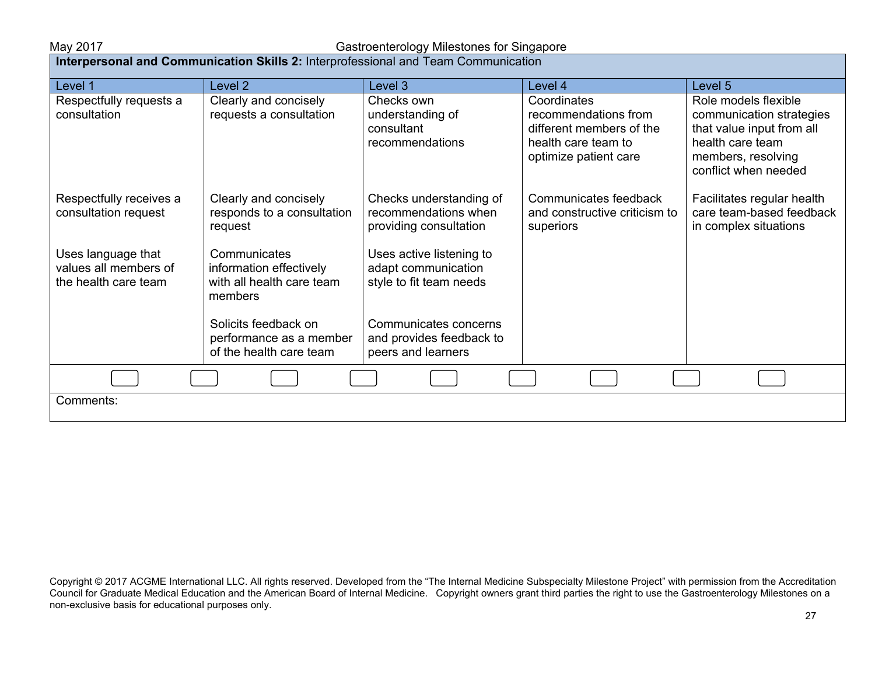# May 2017 Gastroenterology Milestones for Singapore

| <b>Interpersonal and Communication Skills 2:</b> Interprofessional and Team Communication |                                                                                 |                                                                            |                                                                                                                 |                                                                                                                                                 |
|-------------------------------------------------------------------------------------------|---------------------------------------------------------------------------------|----------------------------------------------------------------------------|-----------------------------------------------------------------------------------------------------------------|-------------------------------------------------------------------------------------------------------------------------------------------------|
| Level 1                                                                                   | Level <sub>2</sub>                                                              | Level 3                                                                    | Level 4                                                                                                         | Level 5                                                                                                                                         |
| Respectfully requests a<br>consultation                                                   | Clearly and concisely<br>requests a consultation                                | Checks own<br>understanding of<br>consultant<br>recommendations            | Coordinates<br>recommendations from<br>different members of the<br>health care team to<br>optimize patient care | Role models flexible<br>communication strategies<br>that value input from all<br>health care team<br>members, resolving<br>conflict when needed |
| Respectfully receives a<br>consultation request                                           | Clearly and concisely<br>responds to a consultation<br>request                  | Checks understanding of<br>recommendations when<br>providing consultation  | Communicates feedback<br>and constructive criticism to<br>superiors                                             | Facilitates regular health<br>care team-based feedback<br>in complex situations                                                                 |
| Uses language that<br>values all members of<br>the health care team                       | Communicates<br>information effectively<br>with all health care team<br>members | Uses active listening to<br>adapt communication<br>style to fit team needs |                                                                                                                 |                                                                                                                                                 |
|                                                                                           | Solicits feedback on<br>performance as a member<br>of the health care team      | Communicates concerns<br>and provides feedback to<br>peers and learners    |                                                                                                                 |                                                                                                                                                 |
|                                                                                           |                                                                                 |                                                                            |                                                                                                                 |                                                                                                                                                 |
| Comments:                                                                                 |                                                                                 |                                                                            |                                                                                                                 |                                                                                                                                                 |